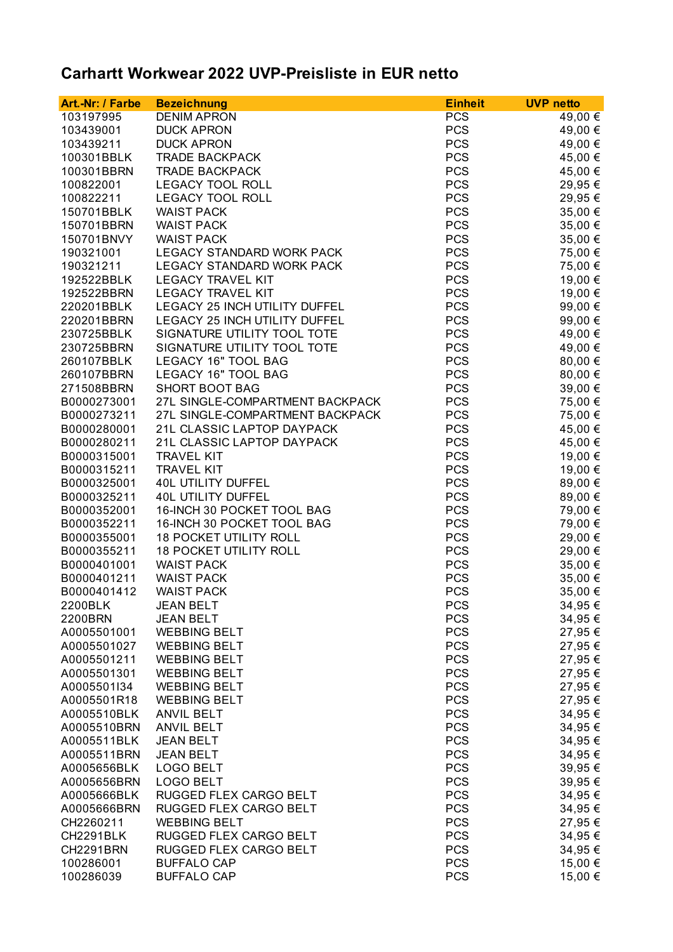## **Carhartt Workwear 2022 UVP-Preisliste in EUR netto**

| <b>PCS</b><br>103197995<br><b>DENIM APRON</b><br>49,00 €<br><b>PCS</b><br>103439001<br><b>DUCK APRON</b><br>49,00 €<br><b>PCS</b><br>49,00 €<br>103439211<br><b>DUCK APRON</b><br><b>PCS</b><br>45,00 €<br>100301BBLK<br><b>TRADE BACKPACK</b><br><b>PCS</b><br>45,00 €<br>100301BBRN<br><b>TRADE BACKPACK</b><br><b>PCS</b><br>29,95 €<br>100822001<br><b>LEGACY TOOL ROLL</b><br><b>PCS</b><br>100822211<br><b>LEGACY TOOL ROLL</b><br>29,95 €<br><b>PCS</b><br>150701BBLK<br><b>WAIST PACK</b><br>35,00 €<br><b>PCS</b><br>150701BBRN<br><b>WAIST PACK</b><br>35,00 €<br><b>PCS</b><br>150701BNVY<br><b>WAIST PACK</b><br>35,00 €<br><b>PCS</b><br>190321001<br>LEGACY STANDARD WORK PACK<br>75,00 €<br><b>PCS</b><br>190321211<br><b>LEGACY STANDARD WORK PACK</b><br>75,00 €<br><b>PCS</b><br>192522BBLK<br><b>LEGACY TRAVEL KIT</b><br>19,00 €<br><b>PCS</b><br><b>LEGACY TRAVEL KIT</b><br>192522BBRN<br>19,00 €<br><b>PCS</b><br>LEGACY 25 INCH UTILITY DUFFEL<br>220201BBLK<br>99,00 €<br><b>PCS</b><br>220201BBRN<br><b>LEGACY 25 INCH UTILITY DUFFEL</b><br>99,00 €<br><b>PCS</b><br>230725BBLK<br>SIGNATURE UTILITY TOOL TOTE<br>49,00 €<br><b>PCS</b><br>SIGNATURE UTILITY TOOL TOTE<br>49,00 €<br>230725BBRN<br><b>PCS</b><br>LEGACY 16" TOOL BAG<br>80,00 €<br>260107BBLK<br><b>PCS</b><br><b>LEGACY 16" TOOL BAG</b><br>260107BBRN<br>80,00 €<br><b>PCS</b><br>271508BBRN<br><b>SHORT BOOT BAG</b><br>39,00 €<br><b>PCS</b><br>B0000273001<br>27L SINGLE-COMPARTMENT BACKPACK<br>75,00 €<br><b>PCS</b><br>B0000273211<br>27L SINGLE-COMPARTMENT BACKPACK<br>75,00 €<br><b>PCS</b><br>B0000280001<br>21L CLASSIC LAPTOP DAYPACK<br>45,00 €<br><b>PCS</b><br>B0000280211<br>21L CLASSIC LAPTOP DAYPACK<br>45,00 €<br><b>PCS</b><br>B0000315001<br><b>TRAVEL KIT</b><br>19,00 €<br><b>PCS</b><br>19,00 €<br>B0000315211<br><b>TRAVEL KIT</b><br><b>PCS</b><br>B0000325001<br><b>40L UTILITY DUFFEL</b><br>89,00 €<br><b>PCS</b><br>B0000325211<br><b>40L UTILITY DUFFEL</b><br>89,00 €<br><b>PCS</b><br>B0000352001<br>16-INCH 30 POCKET TOOL BAG<br>79,00 €<br><b>PCS</b><br>B0000352211<br>16-INCH 30 POCKET TOOL BAG<br>79,00 €<br><b>18 POCKET UTILITY ROLL</b><br><b>PCS</b><br>B0000355001<br>29,00 €<br><b>18 POCKET UTILITY ROLL</b><br><b>PCS</b><br>B0000355211<br>29,00 €<br><b>PCS</b><br>B0000401001<br><b>WAIST PACK</b><br>35,00 €<br><b>PCS</b><br>B0000401211<br><b>WAIST PACK</b><br>35,00 €<br><b>PCS</b><br>B0000401412<br><b>WAIST PACK</b><br>35,00 €<br><b>PCS</b><br>2200BLK<br><b>JEAN BELT</b><br>34,95 €<br><b>PCS</b><br>2200BRN<br><b>JEAN BELT</b><br>34,95 €<br><b>PCS</b><br><b>WEBBING BELT</b><br>27,95 €<br><b>PCS</b><br>27,95 €<br>A0005501027<br><b>WEBBING BELT</b><br><b>PCS</b><br>27,95 €<br>A0005501211<br><b>WEBBING BELT</b><br><b>PCS</b><br>27,95 €<br>A0005501301<br><b>WEBBING BELT</b><br><b>PCS</b><br>27,95 €<br>A0005501I34<br><b>WEBBING BELT</b><br><b>PCS</b><br>27,95 €<br>A0005501R18<br><b>WEBBING BELT</b><br><b>PCS</b><br>34,95 €<br>A0005510BLK<br><b>ANVIL BELT</b><br><b>PCS</b><br>34,95 €<br>A0005510BRN<br><b>ANVIL BELT</b><br><b>PCS</b><br>A0005511BLK<br><b>JEAN BELT</b><br>34,95 €<br><b>PCS</b><br>A0005511BRN<br><b>JEAN BELT</b><br>34,95 €<br><b>PCS</b><br>A0005656BLK<br>LOGO BELT<br>39,95 €<br><b>LOGO BELT</b><br><b>PCS</b><br>A0005656BRN<br>39,95 €<br><b>PCS</b><br>A0005666BLK<br>RUGGED FLEX CARGO BELT<br>34,95 €<br><b>PCS</b><br>A0005666BRN<br>RUGGED FLEX CARGO BELT<br>34,95 €<br><b>PCS</b><br>CH2260211<br><b>WEBBING BELT</b><br>27,95 €<br>RUGGED FLEX CARGO BELT<br><b>PCS</b><br>CH2291BLK<br>34,95 €<br><b>PCS</b><br><b>CH2291BRN</b><br>RUGGED FLEX CARGO BELT<br>34,95 €<br><b>PCS</b><br>100286001<br><b>BUFFALO CAP</b><br>15,00 €<br>100286039<br><b>PCS</b><br>15,00 €<br><b>BUFFALO CAP</b> | Art.-Nr: / Farbe | <b>Bezeichnung</b> | <b>Einheit</b> | <b>UVP netto</b> |
|------------------------------------------------------------------------------------------------------------------------------------------------------------------------------------------------------------------------------------------------------------------------------------------------------------------------------------------------------------------------------------------------------------------------------------------------------------------------------------------------------------------------------------------------------------------------------------------------------------------------------------------------------------------------------------------------------------------------------------------------------------------------------------------------------------------------------------------------------------------------------------------------------------------------------------------------------------------------------------------------------------------------------------------------------------------------------------------------------------------------------------------------------------------------------------------------------------------------------------------------------------------------------------------------------------------------------------------------------------------------------------------------------------------------------------------------------------------------------------------------------------------------------------------------------------------------------------------------------------------------------------------------------------------------------------------------------------------------------------------------------------------------------------------------------------------------------------------------------------------------------------------------------------------------------------------------------------------------------------------------------------------------------------------------------------------------------------------------------------------------------------------------------------------------------------------------------------------------------------------------------------------------------------------------------------------------------------------------------------------------------------------------------------------------------------------------------------------------------------------------------------------------------------------------------------------------------------------------------------------------------------------------------------------------------------------------------------------------------------------------------------------------------------------------------------------------------------------------------------------------------------------------------------------------------------------------------------------------------------------------------------------------------------------------------------------------------------------------------------------------------------------------------------------------------------------------------------------------------------------------------------------------------------------------------------------------------------------------------------------------------------------------------------------------------------------------------------------------------------------------------------------------------------------------------------------------------------------------------------------------------------------------------------------------------------------------------------------------------------------------------------------------------------------------------------------------|------------------|--------------------|----------------|------------------|
|                                                                                                                                                                                                                                                                                                                                                                                                                                                                                                                                                                                                                                                                                                                                                                                                                                                                                                                                                                                                                                                                                                                                                                                                                                                                                                                                                                                                                                                                                                                                                                                                                                                                                                                                                                                                                                                                                                                                                                                                                                                                                                                                                                                                                                                                                                                                                                                                                                                                                                                                                                                                                                                                                                                                                                                                                                                                                                                                                                                                                                                                                                                                                                                                                                                                                                                                                                                                                                                                                                                                                                                                                                                                                                                                                                                                                        |                  |                    |                |                  |
|                                                                                                                                                                                                                                                                                                                                                                                                                                                                                                                                                                                                                                                                                                                                                                                                                                                                                                                                                                                                                                                                                                                                                                                                                                                                                                                                                                                                                                                                                                                                                                                                                                                                                                                                                                                                                                                                                                                                                                                                                                                                                                                                                                                                                                                                                                                                                                                                                                                                                                                                                                                                                                                                                                                                                                                                                                                                                                                                                                                                                                                                                                                                                                                                                                                                                                                                                                                                                                                                                                                                                                                                                                                                                                                                                                                                                        |                  |                    |                |                  |
|                                                                                                                                                                                                                                                                                                                                                                                                                                                                                                                                                                                                                                                                                                                                                                                                                                                                                                                                                                                                                                                                                                                                                                                                                                                                                                                                                                                                                                                                                                                                                                                                                                                                                                                                                                                                                                                                                                                                                                                                                                                                                                                                                                                                                                                                                                                                                                                                                                                                                                                                                                                                                                                                                                                                                                                                                                                                                                                                                                                                                                                                                                                                                                                                                                                                                                                                                                                                                                                                                                                                                                                                                                                                                                                                                                                                                        |                  |                    |                |                  |
|                                                                                                                                                                                                                                                                                                                                                                                                                                                                                                                                                                                                                                                                                                                                                                                                                                                                                                                                                                                                                                                                                                                                                                                                                                                                                                                                                                                                                                                                                                                                                                                                                                                                                                                                                                                                                                                                                                                                                                                                                                                                                                                                                                                                                                                                                                                                                                                                                                                                                                                                                                                                                                                                                                                                                                                                                                                                                                                                                                                                                                                                                                                                                                                                                                                                                                                                                                                                                                                                                                                                                                                                                                                                                                                                                                                                                        |                  |                    |                |                  |
|                                                                                                                                                                                                                                                                                                                                                                                                                                                                                                                                                                                                                                                                                                                                                                                                                                                                                                                                                                                                                                                                                                                                                                                                                                                                                                                                                                                                                                                                                                                                                                                                                                                                                                                                                                                                                                                                                                                                                                                                                                                                                                                                                                                                                                                                                                                                                                                                                                                                                                                                                                                                                                                                                                                                                                                                                                                                                                                                                                                                                                                                                                                                                                                                                                                                                                                                                                                                                                                                                                                                                                                                                                                                                                                                                                                                                        |                  |                    |                |                  |
|                                                                                                                                                                                                                                                                                                                                                                                                                                                                                                                                                                                                                                                                                                                                                                                                                                                                                                                                                                                                                                                                                                                                                                                                                                                                                                                                                                                                                                                                                                                                                                                                                                                                                                                                                                                                                                                                                                                                                                                                                                                                                                                                                                                                                                                                                                                                                                                                                                                                                                                                                                                                                                                                                                                                                                                                                                                                                                                                                                                                                                                                                                                                                                                                                                                                                                                                                                                                                                                                                                                                                                                                                                                                                                                                                                                                                        |                  |                    |                |                  |
|                                                                                                                                                                                                                                                                                                                                                                                                                                                                                                                                                                                                                                                                                                                                                                                                                                                                                                                                                                                                                                                                                                                                                                                                                                                                                                                                                                                                                                                                                                                                                                                                                                                                                                                                                                                                                                                                                                                                                                                                                                                                                                                                                                                                                                                                                                                                                                                                                                                                                                                                                                                                                                                                                                                                                                                                                                                                                                                                                                                                                                                                                                                                                                                                                                                                                                                                                                                                                                                                                                                                                                                                                                                                                                                                                                                                                        |                  |                    |                |                  |
|                                                                                                                                                                                                                                                                                                                                                                                                                                                                                                                                                                                                                                                                                                                                                                                                                                                                                                                                                                                                                                                                                                                                                                                                                                                                                                                                                                                                                                                                                                                                                                                                                                                                                                                                                                                                                                                                                                                                                                                                                                                                                                                                                                                                                                                                                                                                                                                                                                                                                                                                                                                                                                                                                                                                                                                                                                                                                                                                                                                                                                                                                                                                                                                                                                                                                                                                                                                                                                                                                                                                                                                                                                                                                                                                                                                                                        |                  |                    |                |                  |
|                                                                                                                                                                                                                                                                                                                                                                                                                                                                                                                                                                                                                                                                                                                                                                                                                                                                                                                                                                                                                                                                                                                                                                                                                                                                                                                                                                                                                                                                                                                                                                                                                                                                                                                                                                                                                                                                                                                                                                                                                                                                                                                                                                                                                                                                                                                                                                                                                                                                                                                                                                                                                                                                                                                                                                                                                                                                                                                                                                                                                                                                                                                                                                                                                                                                                                                                                                                                                                                                                                                                                                                                                                                                                                                                                                                                                        |                  |                    |                |                  |
|                                                                                                                                                                                                                                                                                                                                                                                                                                                                                                                                                                                                                                                                                                                                                                                                                                                                                                                                                                                                                                                                                                                                                                                                                                                                                                                                                                                                                                                                                                                                                                                                                                                                                                                                                                                                                                                                                                                                                                                                                                                                                                                                                                                                                                                                                                                                                                                                                                                                                                                                                                                                                                                                                                                                                                                                                                                                                                                                                                                                                                                                                                                                                                                                                                                                                                                                                                                                                                                                                                                                                                                                                                                                                                                                                                                                                        |                  |                    |                |                  |
|                                                                                                                                                                                                                                                                                                                                                                                                                                                                                                                                                                                                                                                                                                                                                                                                                                                                                                                                                                                                                                                                                                                                                                                                                                                                                                                                                                                                                                                                                                                                                                                                                                                                                                                                                                                                                                                                                                                                                                                                                                                                                                                                                                                                                                                                                                                                                                                                                                                                                                                                                                                                                                                                                                                                                                                                                                                                                                                                                                                                                                                                                                                                                                                                                                                                                                                                                                                                                                                                                                                                                                                                                                                                                                                                                                                                                        |                  |                    |                |                  |
|                                                                                                                                                                                                                                                                                                                                                                                                                                                                                                                                                                                                                                                                                                                                                                                                                                                                                                                                                                                                                                                                                                                                                                                                                                                                                                                                                                                                                                                                                                                                                                                                                                                                                                                                                                                                                                                                                                                                                                                                                                                                                                                                                                                                                                                                                                                                                                                                                                                                                                                                                                                                                                                                                                                                                                                                                                                                                                                                                                                                                                                                                                                                                                                                                                                                                                                                                                                                                                                                                                                                                                                                                                                                                                                                                                                                                        |                  |                    |                |                  |
|                                                                                                                                                                                                                                                                                                                                                                                                                                                                                                                                                                                                                                                                                                                                                                                                                                                                                                                                                                                                                                                                                                                                                                                                                                                                                                                                                                                                                                                                                                                                                                                                                                                                                                                                                                                                                                                                                                                                                                                                                                                                                                                                                                                                                                                                                                                                                                                                                                                                                                                                                                                                                                                                                                                                                                                                                                                                                                                                                                                                                                                                                                                                                                                                                                                                                                                                                                                                                                                                                                                                                                                                                                                                                                                                                                                                                        |                  |                    |                |                  |
|                                                                                                                                                                                                                                                                                                                                                                                                                                                                                                                                                                                                                                                                                                                                                                                                                                                                                                                                                                                                                                                                                                                                                                                                                                                                                                                                                                                                                                                                                                                                                                                                                                                                                                                                                                                                                                                                                                                                                                                                                                                                                                                                                                                                                                                                                                                                                                                                                                                                                                                                                                                                                                                                                                                                                                                                                                                                                                                                                                                                                                                                                                                                                                                                                                                                                                                                                                                                                                                                                                                                                                                                                                                                                                                                                                                                                        |                  |                    |                |                  |
|                                                                                                                                                                                                                                                                                                                                                                                                                                                                                                                                                                                                                                                                                                                                                                                                                                                                                                                                                                                                                                                                                                                                                                                                                                                                                                                                                                                                                                                                                                                                                                                                                                                                                                                                                                                                                                                                                                                                                                                                                                                                                                                                                                                                                                                                                                                                                                                                                                                                                                                                                                                                                                                                                                                                                                                                                                                                                                                                                                                                                                                                                                                                                                                                                                                                                                                                                                                                                                                                                                                                                                                                                                                                                                                                                                                                                        |                  |                    |                |                  |
|                                                                                                                                                                                                                                                                                                                                                                                                                                                                                                                                                                                                                                                                                                                                                                                                                                                                                                                                                                                                                                                                                                                                                                                                                                                                                                                                                                                                                                                                                                                                                                                                                                                                                                                                                                                                                                                                                                                                                                                                                                                                                                                                                                                                                                                                                                                                                                                                                                                                                                                                                                                                                                                                                                                                                                                                                                                                                                                                                                                                                                                                                                                                                                                                                                                                                                                                                                                                                                                                                                                                                                                                                                                                                                                                                                                                                        |                  |                    |                |                  |
|                                                                                                                                                                                                                                                                                                                                                                                                                                                                                                                                                                                                                                                                                                                                                                                                                                                                                                                                                                                                                                                                                                                                                                                                                                                                                                                                                                                                                                                                                                                                                                                                                                                                                                                                                                                                                                                                                                                                                                                                                                                                                                                                                                                                                                                                                                                                                                                                                                                                                                                                                                                                                                                                                                                                                                                                                                                                                                                                                                                                                                                                                                                                                                                                                                                                                                                                                                                                                                                                                                                                                                                                                                                                                                                                                                                                                        |                  |                    |                |                  |
|                                                                                                                                                                                                                                                                                                                                                                                                                                                                                                                                                                                                                                                                                                                                                                                                                                                                                                                                                                                                                                                                                                                                                                                                                                                                                                                                                                                                                                                                                                                                                                                                                                                                                                                                                                                                                                                                                                                                                                                                                                                                                                                                                                                                                                                                                                                                                                                                                                                                                                                                                                                                                                                                                                                                                                                                                                                                                                                                                                                                                                                                                                                                                                                                                                                                                                                                                                                                                                                                                                                                                                                                                                                                                                                                                                                                                        |                  |                    |                |                  |
|                                                                                                                                                                                                                                                                                                                                                                                                                                                                                                                                                                                                                                                                                                                                                                                                                                                                                                                                                                                                                                                                                                                                                                                                                                                                                                                                                                                                                                                                                                                                                                                                                                                                                                                                                                                                                                                                                                                                                                                                                                                                                                                                                                                                                                                                                                                                                                                                                                                                                                                                                                                                                                                                                                                                                                                                                                                                                                                                                                                                                                                                                                                                                                                                                                                                                                                                                                                                                                                                                                                                                                                                                                                                                                                                                                                                                        |                  |                    |                |                  |
|                                                                                                                                                                                                                                                                                                                                                                                                                                                                                                                                                                                                                                                                                                                                                                                                                                                                                                                                                                                                                                                                                                                                                                                                                                                                                                                                                                                                                                                                                                                                                                                                                                                                                                                                                                                                                                                                                                                                                                                                                                                                                                                                                                                                                                                                                                                                                                                                                                                                                                                                                                                                                                                                                                                                                                                                                                                                                                                                                                                                                                                                                                                                                                                                                                                                                                                                                                                                                                                                                                                                                                                                                                                                                                                                                                                                                        |                  |                    |                |                  |
|                                                                                                                                                                                                                                                                                                                                                                                                                                                                                                                                                                                                                                                                                                                                                                                                                                                                                                                                                                                                                                                                                                                                                                                                                                                                                                                                                                                                                                                                                                                                                                                                                                                                                                                                                                                                                                                                                                                                                                                                                                                                                                                                                                                                                                                                                                                                                                                                                                                                                                                                                                                                                                                                                                                                                                                                                                                                                                                                                                                                                                                                                                                                                                                                                                                                                                                                                                                                                                                                                                                                                                                                                                                                                                                                                                                                                        |                  |                    |                |                  |
|                                                                                                                                                                                                                                                                                                                                                                                                                                                                                                                                                                                                                                                                                                                                                                                                                                                                                                                                                                                                                                                                                                                                                                                                                                                                                                                                                                                                                                                                                                                                                                                                                                                                                                                                                                                                                                                                                                                                                                                                                                                                                                                                                                                                                                                                                                                                                                                                                                                                                                                                                                                                                                                                                                                                                                                                                                                                                                                                                                                                                                                                                                                                                                                                                                                                                                                                                                                                                                                                                                                                                                                                                                                                                                                                                                                                                        |                  |                    |                |                  |
|                                                                                                                                                                                                                                                                                                                                                                                                                                                                                                                                                                                                                                                                                                                                                                                                                                                                                                                                                                                                                                                                                                                                                                                                                                                                                                                                                                                                                                                                                                                                                                                                                                                                                                                                                                                                                                                                                                                                                                                                                                                                                                                                                                                                                                                                                                                                                                                                                                                                                                                                                                                                                                                                                                                                                                                                                                                                                                                                                                                                                                                                                                                                                                                                                                                                                                                                                                                                                                                                                                                                                                                                                                                                                                                                                                                                                        |                  |                    |                |                  |
|                                                                                                                                                                                                                                                                                                                                                                                                                                                                                                                                                                                                                                                                                                                                                                                                                                                                                                                                                                                                                                                                                                                                                                                                                                                                                                                                                                                                                                                                                                                                                                                                                                                                                                                                                                                                                                                                                                                                                                                                                                                                                                                                                                                                                                                                                                                                                                                                                                                                                                                                                                                                                                                                                                                                                                                                                                                                                                                                                                                                                                                                                                                                                                                                                                                                                                                                                                                                                                                                                                                                                                                                                                                                                                                                                                                                                        |                  |                    |                |                  |
|                                                                                                                                                                                                                                                                                                                                                                                                                                                                                                                                                                                                                                                                                                                                                                                                                                                                                                                                                                                                                                                                                                                                                                                                                                                                                                                                                                                                                                                                                                                                                                                                                                                                                                                                                                                                                                                                                                                                                                                                                                                                                                                                                                                                                                                                                                                                                                                                                                                                                                                                                                                                                                                                                                                                                                                                                                                                                                                                                                                                                                                                                                                                                                                                                                                                                                                                                                                                                                                                                                                                                                                                                                                                                                                                                                                                                        |                  |                    |                |                  |
|                                                                                                                                                                                                                                                                                                                                                                                                                                                                                                                                                                                                                                                                                                                                                                                                                                                                                                                                                                                                                                                                                                                                                                                                                                                                                                                                                                                                                                                                                                                                                                                                                                                                                                                                                                                                                                                                                                                                                                                                                                                                                                                                                                                                                                                                                                                                                                                                                                                                                                                                                                                                                                                                                                                                                                                                                                                                                                                                                                                                                                                                                                                                                                                                                                                                                                                                                                                                                                                                                                                                                                                                                                                                                                                                                                                                                        |                  |                    |                |                  |
|                                                                                                                                                                                                                                                                                                                                                                                                                                                                                                                                                                                                                                                                                                                                                                                                                                                                                                                                                                                                                                                                                                                                                                                                                                                                                                                                                                                                                                                                                                                                                                                                                                                                                                                                                                                                                                                                                                                                                                                                                                                                                                                                                                                                                                                                                                                                                                                                                                                                                                                                                                                                                                                                                                                                                                                                                                                                                                                                                                                                                                                                                                                                                                                                                                                                                                                                                                                                                                                                                                                                                                                                                                                                                                                                                                                                                        |                  |                    |                |                  |
|                                                                                                                                                                                                                                                                                                                                                                                                                                                                                                                                                                                                                                                                                                                                                                                                                                                                                                                                                                                                                                                                                                                                                                                                                                                                                                                                                                                                                                                                                                                                                                                                                                                                                                                                                                                                                                                                                                                                                                                                                                                                                                                                                                                                                                                                                                                                                                                                                                                                                                                                                                                                                                                                                                                                                                                                                                                                                                                                                                                                                                                                                                                                                                                                                                                                                                                                                                                                                                                                                                                                                                                                                                                                                                                                                                                                                        |                  |                    |                |                  |
|                                                                                                                                                                                                                                                                                                                                                                                                                                                                                                                                                                                                                                                                                                                                                                                                                                                                                                                                                                                                                                                                                                                                                                                                                                                                                                                                                                                                                                                                                                                                                                                                                                                                                                                                                                                                                                                                                                                                                                                                                                                                                                                                                                                                                                                                                                                                                                                                                                                                                                                                                                                                                                                                                                                                                                                                                                                                                                                                                                                                                                                                                                                                                                                                                                                                                                                                                                                                                                                                                                                                                                                                                                                                                                                                                                                                                        |                  |                    |                |                  |
|                                                                                                                                                                                                                                                                                                                                                                                                                                                                                                                                                                                                                                                                                                                                                                                                                                                                                                                                                                                                                                                                                                                                                                                                                                                                                                                                                                                                                                                                                                                                                                                                                                                                                                                                                                                                                                                                                                                                                                                                                                                                                                                                                                                                                                                                                                                                                                                                                                                                                                                                                                                                                                                                                                                                                                                                                                                                                                                                                                                                                                                                                                                                                                                                                                                                                                                                                                                                                                                                                                                                                                                                                                                                                                                                                                                                                        |                  |                    |                |                  |
|                                                                                                                                                                                                                                                                                                                                                                                                                                                                                                                                                                                                                                                                                                                                                                                                                                                                                                                                                                                                                                                                                                                                                                                                                                                                                                                                                                                                                                                                                                                                                                                                                                                                                                                                                                                                                                                                                                                                                                                                                                                                                                                                                                                                                                                                                                                                                                                                                                                                                                                                                                                                                                                                                                                                                                                                                                                                                                                                                                                                                                                                                                                                                                                                                                                                                                                                                                                                                                                                                                                                                                                                                                                                                                                                                                                                                        |                  |                    |                |                  |
|                                                                                                                                                                                                                                                                                                                                                                                                                                                                                                                                                                                                                                                                                                                                                                                                                                                                                                                                                                                                                                                                                                                                                                                                                                                                                                                                                                                                                                                                                                                                                                                                                                                                                                                                                                                                                                                                                                                                                                                                                                                                                                                                                                                                                                                                                                                                                                                                                                                                                                                                                                                                                                                                                                                                                                                                                                                                                                                                                                                                                                                                                                                                                                                                                                                                                                                                                                                                                                                                                                                                                                                                                                                                                                                                                                                                                        |                  |                    |                |                  |
|                                                                                                                                                                                                                                                                                                                                                                                                                                                                                                                                                                                                                                                                                                                                                                                                                                                                                                                                                                                                                                                                                                                                                                                                                                                                                                                                                                                                                                                                                                                                                                                                                                                                                                                                                                                                                                                                                                                                                                                                                                                                                                                                                                                                                                                                                                                                                                                                                                                                                                                                                                                                                                                                                                                                                                                                                                                                                                                                                                                                                                                                                                                                                                                                                                                                                                                                                                                                                                                                                                                                                                                                                                                                                                                                                                                                                        |                  |                    |                |                  |
|                                                                                                                                                                                                                                                                                                                                                                                                                                                                                                                                                                                                                                                                                                                                                                                                                                                                                                                                                                                                                                                                                                                                                                                                                                                                                                                                                                                                                                                                                                                                                                                                                                                                                                                                                                                                                                                                                                                                                                                                                                                                                                                                                                                                                                                                                                                                                                                                                                                                                                                                                                                                                                                                                                                                                                                                                                                                                                                                                                                                                                                                                                                                                                                                                                                                                                                                                                                                                                                                                                                                                                                                                                                                                                                                                                                                                        |                  |                    |                |                  |
|                                                                                                                                                                                                                                                                                                                                                                                                                                                                                                                                                                                                                                                                                                                                                                                                                                                                                                                                                                                                                                                                                                                                                                                                                                                                                                                                                                                                                                                                                                                                                                                                                                                                                                                                                                                                                                                                                                                                                                                                                                                                                                                                                                                                                                                                                                                                                                                                                                                                                                                                                                                                                                                                                                                                                                                                                                                                                                                                                                                                                                                                                                                                                                                                                                                                                                                                                                                                                                                                                                                                                                                                                                                                                                                                                                                                                        |                  |                    |                |                  |
|                                                                                                                                                                                                                                                                                                                                                                                                                                                                                                                                                                                                                                                                                                                                                                                                                                                                                                                                                                                                                                                                                                                                                                                                                                                                                                                                                                                                                                                                                                                                                                                                                                                                                                                                                                                                                                                                                                                                                                                                                                                                                                                                                                                                                                                                                                                                                                                                                                                                                                                                                                                                                                                                                                                                                                                                                                                                                                                                                                                                                                                                                                                                                                                                                                                                                                                                                                                                                                                                                                                                                                                                                                                                                                                                                                                                                        |                  |                    |                |                  |
|                                                                                                                                                                                                                                                                                                                                                                                                                                                                                                                                                                                                                                                                                                                                                                                                                                                                                                                                                                                                                                                                                                                                                                                                                                                                                                                                                                                                                                                                                                                                                                                                                                                                                                                                                                                                                                                                                                                                                                                                                                                                                                                                                                                                                                                                                                                                                                                                                                                                                                                                                                                                                                                                                                                                                                                                                                                                                                                                                                                                                                                                                                                                                                                                                                                                                                                                                                                                                                                                                                                                                                                                                                                                                                                                                                                                                        |                  |                    |                |                  |
|                                                                                                                                                                                                                                                                                                                                                                                                                                                                                                                                                                                                                                                                                                                                                                                                                                                                                                                                                                                                                                                                                                                                                                                                                                                                                                                                                                                                                                                                                                                                                                                                                                                                                                                                                                                                                                                                                                                                                                                                                                                                                                                                                                                                                                                                                                                                                                                                                                                                                                                                                                                                                                                                                                                                                                                                                                                                                                                                                                                                                                                                                                                                                                                                                                                                                                                                                                                                                                                                                                                                                                                                                                                                                                                                                                                                                        |                  |                    |                |                  |
|                                                                                                                                                                                                                                                                                                                                                                                                                                                                                                                                                                                                                                                                                                                                                                                                                                                                                                                                                                                                                                                                                                                                                                                                                                                                                                                                                                                                                                                                                                                                                                                                                                                                                                                                                                                                                                                                                                                                                                                                                                                                                                                                                                                                                                                                                                                                                                                                                                                                                                                                                                                                                                                                                                                                                                                                                                                                                                                                                                                                                                                                                                                                                                                                                                                                                                                                                                                                                                                                                                                                                                                                                                                                                                                                                                                                                        |                  |                    |                |                  |
|                                                                                                                                                                                                                                                                                                                                                                                                                                                                                                                                                                                                                                                                                                                                                                                                                                                                                                                                                                                                                                                                                                                                                                                                                                                                                                                                                                                                                                                                                                                                                                                                                                                                                                                                                                                                                                                                                                                                                                                                                                                                                                                                                                                                                                                                                                                                                                                                                                                                                                                                                                                                                                                                                                                                                                                                                                                                                                                                                                                                                                                                                                                                                                                                                                                                                                                                                                                                                                                                                                                                                                                                                                                                                                                                                                                                                        | A0005501001      |                    |                |                  |
|                                                                                                                                                                                                                                                                                                                                                                                                                                                                                                                                                                                                                                                                                                                                                                                                                                                                                                                                                                                                                                                                                                                                                                                                                                                                                                                                                                                                                                                                                                                                                                                                                                                                                                                                                                                                                                                                                                                                                                                                                                                                                                                                                                                                                                                                                                                                                                                                                                                                                                                                                                                                                                                                                                                                                                                                                                                                                                                                                                                                                                                                                                                                                                                                                                                                                                                                                                                                                                                                                                                                                                                                                                                                                                                                                                                                                        |                  |                    |                |                  |
|                                                                                                                                                                                                                                                                                                                                                                                                                                                                                                                                                                                                                                                                                                                                                                                                                                                                                                                                                                                                                                                                                                                                                                                                                                                                                                                                                                                                                                                                                                                                                                                                                                                                                                                                                                                                                                                                                                                                                                                                                                                                                                                                                                                                                                                                                                                                                                                                                                                                                                                                                                                                                                                                                                                                                                                                                                                                                                                                                                                                                                                                                                                                                                                                                                                                                                                                                                                                                                                                                                                                                                                                                                                                                                                                                                                                                        |                  |                    |                |                  |
|                                                                                                                                                                                                                                                                                                                                                                                                                                                                                                                                                                                                                                                                                                                                                                                                                                                                                                                                                                                                                                                                                                                                                                                                                                                                                                                                                                                                                                                                                                                                                                                                                                                                                                                                                                                                                                                                                                                                                                                                                                                                                                                                                                                                                                                                                                                                                                                                                                                                                                                                                                                                                                                                                                                                                                                                                                                                                                                                                                                                                                                                                                                                                                                                                                                                                                                                                                                                                                                                                                                                                                                                                                                                                                                                                                                                                        |                  |                    |                |                  |
|                                                                                                                                                                                                                                                                                                                                                                                                                                                                                                                                                                                                                                                                                                                                                                                                                                                                                                                                                                                                                                                                                                                                                                                                                                                                                                                                                                                                                                                                                                                                                                                                                                                                                                                                                                                                                                                                                                                                                                                                                                                                                                                                                                                                                                                                                                                                                                                                                                                                                                                                                                                                                                                                                                                                                                                                                                                                                                                                                                                                                                                                                                                                                                                                                                                                                                                                                                                                                                                                                                                                                                                                                                                                                                                                                                                                                        |                  |                    |                |                  |
|                                                                                                                                                                                                                                                                                                                                                                                                                                                                                                                                                                                                                                                                                                                                                                                                                                                                                                                                                                                                                                                                                                                                                                                                                                                                                                                                                                                                                                                                                                                                                                                                                                                                                                                                                                                                                                                                                                                                                                                                                                                                                                                                                                                                                                                                                                                                                                                                                                                                                                                                                                                                                                                                                                                                                                                                                                                                                                                                                                                                                                                                                                                                                                                                                                                                                                                                                                                                                                                                                                                                                                                                                                                                                                                                                                                                                        |                  |                    |                |                  |
|                                                                                                                                                                                                                                                                                                                                                                                                                                                                                                                                                                                                                                                                                                                                                                                                                                                                                                                                                                                                                                                                                                                                                                                                                                                                                                                                                                                                                                                                                                                                                                                                                                                                                                                                                                                                                                                                                                                                                                                                                                                                                                                                                                                                                                                                                                                                                                                                                                                                                                                                                                                                                                                                                                                                                                                                                                                                                                                                                                                                                                                                                                                                                                                                                                                                                                                                                                                                                                                                                                                                                                                                                                                                                                                                                                                                                        |                  |                    |                |                  |
|                                                                                                                                                                                                                                                                                                                                                                                                                                                                                                                                                                                                                                                                                                                                                                                                                                                                                                                                                                                                                                                                                                                                                                                                                                                                                                                                                                                                                                                                                                                                                                                                                                                                                                                                                                                                                                                                                                                                                                                                                                                                                                                                                                                                                                                                                                                                                                                                                                                                                                                                                                                                                                                                                                                                                                                                                                                                                                                                                                                                                                                                                                                                                                                                                                                                                                                                                                                                                                                                                                                                                                                                                                                                                                                                                                                                                        |                  |                    |                |                  |
|                                                                                                                                                                                                                                                                                                                                                                                                                                                                                                                                                                                                                                                                                                                                                                                                                                                                                                                                                                                                                                                                                                                                                                                                                                                                                                                                                                                                                                                                                                                                                                                                                                                                                                                                                                                                                                                                                                                                                                                                                                                                                                                                                                                                                                                                                                                                                                                                                                                                                                                                                                                                                                                                                                                                                                                                                                                                                                                                                                                                                                                                                                                                                                                                                                                                                                                                                                                                                                                                                                                                                                                                                                                                                                                                                                                                                        |                  |                    |                |                  |
|                                                                                                                                                                                                                                                                                                                                                                                                                                                                                                                                                                                                                                                                                                                                                                                                                                                                                                                                                                                                                                                                                                                                                                                                                                                                                                                                                                                                                                                                                                                                                                                                                                                                                                                                                                                                                                                                                                                                                                                                                                                                                                                                                                                                                                                                                                                                                                                                                                                                                                                                                                                                                                                                                                                                                                                                                                                                                                                                                                                                                                                                                                                                                                                                                                                                                                                                                                                                                                                                                                                                                                                                                                                                                                                                                                                                                        |                  |                    |                |                  |
|                                                                                                                                                                                                                                                                                                                                                                                                                                                                                                                                                                                                                                                                                                                                                                                                                                                                                                                                                                                                                                                                                                                                                                                                                                                                                                                                                                                                                                                                                                                                                                                                                                                                                                                                                                                                                                                                                                                                                                                                                                                                                                                                                                                                                                                                                                                                                                                                                                                                                                                                                                                                                                                                                                                                                                                                                                                                                                                                                                                                                                                                                                                                                                                                                                                                                                                                                                                                                                                                                                                                                                                                                                                                                                                                                                                                                        |                  |                    |                |                  |
|                                                                                                                                                                                                                                                                                                                                                                                                                                                                                                                                                                                                                                                                                                                                                                                                                                                                                                                                                                                                                                                                                                                                                                                                                                                                                                                                                                                                                                                                                                                                                                                                                                                                                                                                                                                                                                                                                                                                                                                                                                                                                                                                                                                                                                                                                                                                                                                                                                                                                                                                                                                                                                                                                                                                                                                                                                                                                                                                                                                                                                                                                                                                                                                                                                                                                                                                                                                                                                                                                                                                                                                                                                                                                                                                                                                                                        |                  |                    |                |                  |
|                                                                                                                                                                                                                                                                                                                                                                                                                                                                                                                                                                                                                                                                                                                                                                                                                                                                                                                                                                                                                                                                                                                                                                                                                                                                                                                                                                                                                                                                                                                                                                                                                                                                                                                                                                                                                                                                                                                                                                                                                                                                                                                                                                                                                                                                                                                                                                                                                                                                                                                                                                                                                                                                                                                                                                                                                                                                                                                                                                                                                                                                                                                                                                                                                                                                                                                                                                                                                                                                                                                                                                                                                                                                                                                                                                                                                        |                  |                    |                |                  |
|                                                                                                                                                                                                                                                                                                                                                                                                                                                                                                                                                                                                                                                                                                                                                                                                                                                                                                                                                                                                                                                                                                                                                                                                                                                                                                                                                                                                                                                                                                                                                                                                                                                                                                                                                                                                                                                                                                                                                                                                                                                                                                                                                                                                                                                                                                                                                                                                                                                                                                                                                                                                                                                                                                                                                                                                                                                                                                                                                                                                                                                                                                                                                                                                                                                                                                                                                                                                                                                                                                                                                                                                                                                                                                                                                                                                                        |                  |                    |                |                  |
|                                                                                                                                                                                                                                                                                                                                                                                                                                                                                                                                                                                                                                                                                                                                                                                                                                                                                                                                                                                                                                                                                                                                                                                                                                                                                                                                                                                                                                                                                                                                                                                                                                                                                                                                                                                                                                                                                                                                                                                                                                                                                                                                                                                                                                                                                                                                                                                                                                                                                                                                                                                                                                                                                                                                                                                                                                                                                                                                                                                                                                                                                                                                                                                                                                                                                                                                                                                                                                                                                                                                                                                                                                                                                                                                                                                                                        |                  |                    |                |                  |
|                                                                                                                                                                                                                                                                                                                                                                                                                                                                                                                                                                                                                                                                                                                                                                                                                                                                                                                                                                                                                                                                                                                                                                                                                                                                                                                                                                                                                                                                                                                                                                                                                                                                                                                                                                                                                                                                                                                                                                                                                                                                                                                                                                                                                                                                                                                                                                                                                                                                                                                                                                                                                                                                                                                                                                                                                                                                                                                                                                                                                                                                                                                                                                                                                                                                                                                                                                                                                                                                                                                                                                                                                                                                                                                                                                                                                        |                  |                    |                |                  |
|                                                                                                                                                                                                                                                                                                                                                                                                                                                                                                                                                                                                                                                                                                                                                                                                                                                                                                                                                                                                                                                                                                                                                                                                                                                                                                                                                                                                                                                                                                                                                                                                                                                                                                                                                                                                                                                                                                                                                                                                                                                                                                                                                                                                                                                                                                                                                                                                                                                                                                                                                                                                                                                                                                                                                                                                                                                                                                                                                                                                                                                                                                                                                                                                                                                                                                                                                                                                                                                                                                                                                                                                                                                                                                                                                                                                                        |                  |                    |                |                  |
|                                                                                                                                                                                                                                                                                                                                                                                                                                                                                                                                                                                                                                                                                                                                                                                                                                                                                                                                                                                                                                                                                                                                                                                                                                                                                                                                                                                                                                                                                                                                                                                                                                                                                                                                                                                                                                                                                                                                                                                                                                                                                                                                                                                                                                                                                                                                                                                                                                                                                                                                                                                                                                                                                                                                                                                                                                                                                                                                                                                                                                                                                                                                                                                                                                                                                                                                                                                                                                                                                                                                                                                                                                                                                                                                                                                                                        |                  |                    |                |                  |
|                                                                                                                                                                                                                                                                                                                                                                                                                                                                                                                                                                                                                                                                                                                                                                                                                                                                                                                                                                                                                                                                                                                                                                                                                                                                                                                                                                                                                                                                                                                                                                                                                                                                                                                                                                                                                                                                                                                                                                                                                                                                                                                                                                                                                                                                                                                                                                                                                                                                                                                                                                                                                                                                                                                                                                                                                                                                                                                                                                                                                                                                                                                                                                                                                                                                                                                                                                                                                                                                                                                                                                                                                                                                                                                                                                                                                        |                  |                    |                |                  |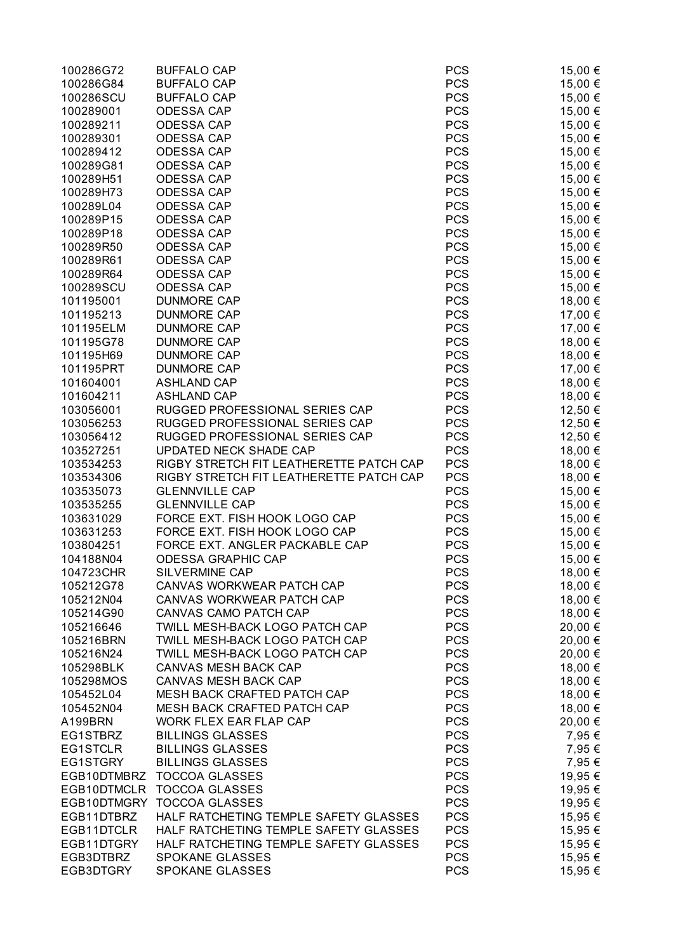| 100286G72  | <b>BUFFALO CAP</b>                      | <b>PCS</b> | 15,00 € |
|------------|-----------------------------------------|------------|---------|
| 100286G84  | <b>BUFFALO CAP</b>                      | <b>PCS</b> | 15,00 € |
| 100286SCU  | <b>BUFFALO CAP</b>                      | <b>PCS</b> | 15,00 € |
| 100289001  | <b>ODESSA CAP</b>                       | <b>PCS</b> | 15,00 € |
| 100289211  | <b>ODESSA CAP</b>                       | <b>PCS</b> | 15,00 € |
| 100289301  | <b>ODESSA CAP</b>                       | <b>PCS</b> | 15,00 € |
| 100289412  | <b>ODESSA CAP</b>                       | <b>PCS</b> | 15,00 € |
| 100289G81  | <b>ODESSA CAP</b>                       | <b>PCS</b> | 15,00 € |
| 100289H51  | <b>ODESSA CAP</b>                       | <b>PCS</b> | 15,00 € |
| 100289H73  | <b>ODESSA CAP</b>                       | <b>PCS</b> | 15,00 € |
| 100289L04  | <b>ODESSA CAP</b>                       | <b>PCS</b> | 15,00 € |
| 100289P15  | <b>ODESSA CAP</b>                       | <b>PCS</b> | 15,00 € |
| 100289P18  | <b>ODESSA CAP</b>                       | <b>PCS</b> | 15,00 € |
| 100289R50  | <b>ODESSA CAP</b>                       | <b>PCS</b> | 15,00 € |
| 100289R61  | <b>ODESSA CAP</b>                       | <b>PCS</b> | 15,00 € |
| 100289R64  | <b>ODESSA CAP</b>                       | <b>PCS</b> | 15,00 € |
| 100289SCU  | <b>ODESSA CAP</b>                       | <b>PCS</b> | 15,00 € |
| 101195001  | <b>DUNMORE CAP</b>                      | <b>PCS</b> | 18,00 € |
| 101195213  | <b>DUNMORE CAP</b>                      | <b>PCS</b> | 17,00 € |
| 101195ELM  | <b>DUNMORE CAP</b>                      | <b>PCS</b> | 17,00 € |
| 101195G78  | <b>DUNMORE CAP</b>                      | <b>PCS</b> |         |
| 101195H69  | <b>DUNMORE CAP</b>                      | <b>PCS</b> | 18,00 € |
|            |                                         |            | 18,00 € |
| 101195PRT  | <b>DUNMORE CAP</b>                      | <b>PCS</b> | 17,00 € |
| 101604001  | <b>ASHLAND CAP</b>                      | <b>PCS</b> | 18,00 € |
| 101604211  | <b>ASHLAND CAP</b>                      | <b>PCS</b> | 18,00 € |
| 103056001  | RUGGED PROFESSIONAL SERIES CAP          | <b>PCS</b> | 12,50 € |
| 103056253  | RUGGED PROFESSIONAL SERIES CAP          | <b>PCS</b> | 12,50 € |
| 103056412  | RUGGED PROFESSIONAL SERIES CAP          | <b>PCS</b> | 12,50 € |
| 103527251  | UPDATED NECK SHADE CAP                  | <b>PCS</b> | 18,00 € |
| 103534253  | RIGBY STRETCH FIT LEATHERETTE PATCH CAP | <b>PCS</b> | 18,00 € |
| 103534306  | RIGBY STRETCH FIT LEATHERETTE PATCH CAP | <b>PCS</b> | 18,00 € |
| 103535073  | <b>GLENNVILLE CAP</b>                   | <b>PCS</b> | 15,00 € |
| 103535255  | <b>GLENNVILLE CAP</b>                   | <b>PCS</b> | 15,00 € |
| 103631029  | FORCE EXT. FISH HOOK LOGO CAP           | <b>PCS</b> | 15,00 € |
| 103631253  | FORCE EXT. FISH HOOK LOGO CAP           | <b>PCS</b> | 15,00 € |
| 103804251  | FORCE EXT. ANGLER PACKABLE CAP          | <b>PCS</b> | 15,00 € |
| 104188N04  | <b>ODESSA GRAPHIC CAP</b>               | <b>PCS</b> | 15,00 € |
| 104723CHR  | SILVERMINE CAP                          | <b>PCS</b> | 18,00 € |
| 105212G78  | CANVAS WORKWEAR PATCH CAP               | <b>PCS</b> | 18,00 € |
| 105212N04  | CANVAS WORKWEAR PATCH CAP               | <b>PCS</b> | 18,00 € |
| 105214G90  | CANVAS CAMO PATCH CAP                   | <b>PCS</b> | 18,00 € |
| 105216646  | TWILL MESH-BACK LOGO PATCH CAP          | <b>PCS</b> | 20,00 € |
| 105216BRN  | TWILL MESH-BACK LOGO PATCH CAP          | <b>PCS</b> | 20,00 € |
| 105216N24  | TWILL MESH-BACK LOGO PATCH CAP          | <b>PCS</b> | 20,00 € |
| 105298BLK  | <b>CANVAS MESH BACK CAP</b>             | <b>PCS</b> | 18,00 € |
| 105298MOS  | <b>CANVAS MESH BACK CAP</b>             | <b>PCS</b> | 18,00 € |
| 105452L04  | <b>MESH BACK CRAFTED PATCH CAP</b>      | <b>PCS</b> | 18,00 € |
| 105452N04  | MESH BACK CRAFTED PATCH CAP             | <b>PCS</b> | 18,00 € |
| A199BRN    | WORK FLEX EAR FLAP CAP                  | <b>PCS</b> | 20,00 € |
| EG1STBRZ   | <b>BILLINGS GLASSES</b>                 | <b>PCS</b> | 7,95 €  |
| EG1STCLR   | <b>BILLINGS GLASSES</b>                 | <b>PCS</b> | 7,95 €  |
| EG1STGRY   | <b>BILLINGS GLASSES</b>                 | <b>PCS</b> | 7,95 €  |
|            | EGB10DTMBRZ TOCCOA GLASSES              | <b>PCS</b> | 19,95 € |
|            | EGB10DTMCLR TOCCOA GLASSES              | <b>PCS</b> | 19,95 € |
|            | EGB10DTMGRY TOCCOA GLASSES              | <b>PCS</b> | 19,95 € |
| EGB11DTBRZ | HALF RATCHETING TEMPLE SAFETY GLASSES   | <b>PCS</b> | 15,95 € |
| EGB11DTCLR | HALF RATCHETING TEMPLE SAFETY GLASSES   | <b>PCS</b> | 15,95 € |
| EGB11DTGRY | HALF RATCHETING TEMPLE SAFETY GLASSES   | <b>PCS</b> | 15,95 € |
| EGB3DTBRZ  | SPOKANE GLASSES                         | <b>PCS</b> | 15,95 € |
| EGB3DTGRY  | SPOKANE GLASSES                         | <b>PCS</b> | 15,95 € |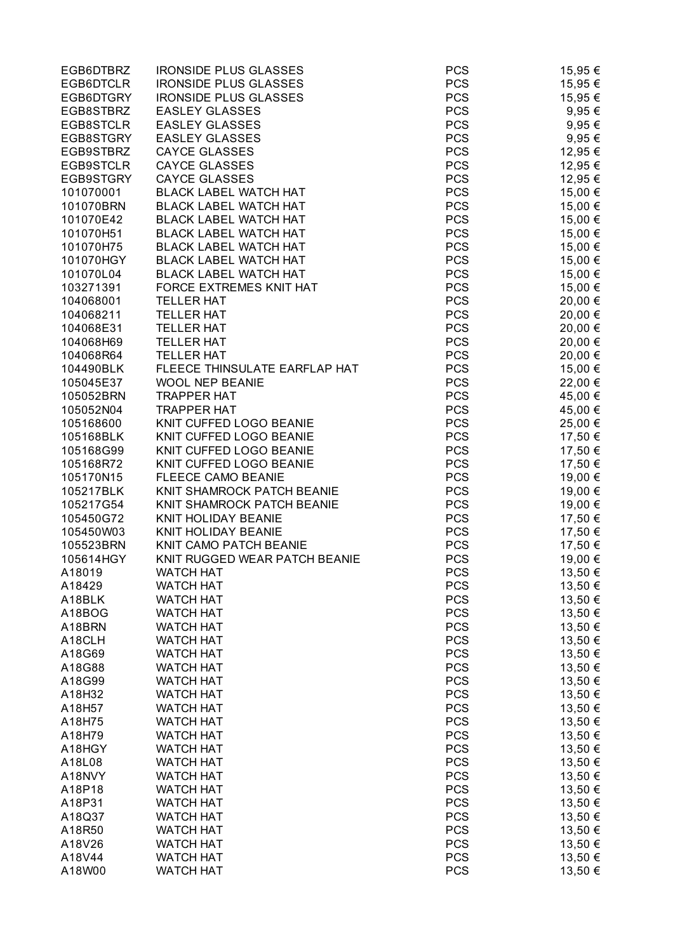| EGB6DTBRZ | <b>IRONSIDE PLUS GLASSES</b>  | <b>PCS</b> | 15,95 €    |
|-----------|-------------------------------|------------|------------|
| EGB6DTCLR | <b>IRONSIDE PLUS GLASSES</b>  | <b>PCS</b> | 15,95 €    |
| EGB6DTGRY | <b>IRONSIDE PLUS GLASSES</b>  | <b>PCS</b> | 15,95 €    |
| EGB8STBRZ | <b>EASLEY GLASSES</b>         | <b>PCS</b> | $9,95 \in$ |
| EGB8STCLR | <b>EASLEY GLASSES</b>         | <b>PCS</b> | 9,95 €     |
| EGB8STGRY | <b>EASLEY GLASSES</b>         | <b>PCS</b> | $9,95 \in$ |
| EGB9STBRZ | <b>CAYCE GLASSES</b>          | <b>PCS</b> | 12,95 €    |
| EGB9STCLR | <b>CAYCE GLASSES</b>          | <b>PCS</b> | 12,95 €    |
| EGB9STGRY | <b>CAYCE GLASSES</b>          | <b>PCS</b> | 12,95 €    |
| 101070001 | <b>BLACK LABEL WATCH HAT</b>  | <b>PCS</b> | 15,00 €    |
| 101070BRN | <b>BLACK LABEL WATCH HAT</b>  | <b>PCS</b> | 15,00 €    |
| 101070E42 | <b>BLACK LABEL WATCH HAT</b>  | <b>PCS</b> | 15,00 €    |
| 101070H51 | <b>BLACK LABEL WATCH HAT</b>  | <b>PCS</b> | 15,00 €    |
| 101070H75 | <b>BLACK LABEL WATCH HAT</b>  | <b>PCS</b> | 15,00 €    |
| 101070HGY | <b>BLACK LABEL WATCH HAT</b>  | <b>PCS</b> | 15,00 €    |
| 101070L04 | <b>BLACK LABEL WATCH HAT</b>  | <b>PCS</b> | 15,00 €    |
| 103271391 | FORCE EXTREMES KNIT HAT       | <b>PCS</b> | 15,00 €    |
| 104068001 | <b>TELLER HAT</b>             | <b>PCS</b> | 20,00 €    |
|           | <b>TELLER HAT</b>             | <b>PCS</b> |            |
| 104068211 |                               |            | 20,00 €    |
| 104068E31 | <b>TELLER HAT</b>             | <b>PCS</b> | 20,00 €    |
| 104068H69 | <b>TELLER HAT</b>             | <b>PCS</b> | 20,00 €    |
| 104068R64 | <b>TELLER HAT</b>             | <b>PCS</b> | 20,00 €    |
| 104490BLK | FLEECE THINSULATE EARFLAP HAT | <b>PCS</b> | 15,00 €    |
| 105045E37 | <b>WOOL NEP BEANIE</b>        | <b>PCS</b> | 22,00 €    |
| 105052BRN | <b>TRAPPER HAT</b>            | <b>PCS</b> | 45,00 €    |
| 105052N04 | <b>TRAPPER HAT</b>            | <b>PCS</b> | 45,00 €    |
| 105168600 | KNIT CUFFED LOGO BEANIE       | <b>PCS</b> | 25,00 €    |
| 105168BLK | KNIT CUFFED LOGO BEANIE       | <b>PCS</b> | 17,50 €    |
| 105168G99 | KNIT CUFFED LOGO BEANIE       | <b>PCS</b> | 17,50 €    |
| 105168R72 | KNIT CUFFED LOGO BEANIE       | <b>PCS</b> | 17,50 €    |
| 105170N15 | <b>FLEECE CAMO BEANIE</b>     | <b>PCS</b> | 19,00 €    |
| 105217BLK | KNIT SHAMROCK PATCH BEANIE    | <b>PCS</b> | 19,00 €    |
| 105217G54 | KNIT SHAMROCK PATCH BEANIE    | <b>PCS</b> | 19,00 €    |
| 105450G72 | KNIT HOLIDAY BEANIE           | <b>PCS</b> | 17,50 €    |
| 105450W03 | KNIT HOLIDAY BEANIE           | <b>PCS</b> | 17,50 €    |
| 105523BRN | KNIT CAMO PATCH BEANIE        | <b>PCS</b> | 17,50 €    |
| 105614HGY | KNIT RUGGED WEAR PATCH BEANIE | <b>PCS</b> | 19,00 €    |
| A18019    | <b>WATCH HAT</b>              | <b>PCS</b> | 13,50 €    |
| A18429    | <b>WATCH HAT</b>              | <b>PCS</b> | 13,50 €    |
| A18BLK    | <b>WATCH HAT</b>              | <b>PCS</b> | 13,50 €    |
| A18BOG    | <b>WATCH HAT</b>              | <b>PCS</b> | 13,50 €    |
| A18BRN    | <b>WATCH HAT</b>              | <b>PCS</b> | 13,50 €    |
| A18CLH    | <b>WATCH HAT</b>              | <b>PCS</b> | 13,50 €    |
| A18G69    | <b>WATCH HAT</b>              | <b>PCS</b> | 13,50 €    |
| A18G88    | <b>WATCH HAT</b>              | <b>PCS</b> | 13,50 €    |
| A18G99    | <b>WATCH HAT</b>              | <b>PCS</b> | 13,50 €    |
| A18H32    | <b>WATCH HAT</b>              | <b>PCS</b> | 13,50 €    |
| A18H57    | <b>WATCH HAT</b>              | <b>PCS</b> | 13,50 €    |
| A18H75    | <b>WATCH HAT</b>              | <b>PCS</b> | 13,50 €    |
| A18H79    | <b>WATCH HAT</b>              | <b>PCS</b> | 13,50 €    |
| A18HGY    | <b>WATCH HAT</b>              | <b>PCS</b> | 13,50 €    |
| A18L08    | <b>WATCH HAT</b>              | <b>PCS</b> | 13,50 €    |
| A18NVY    | <b>WATCH HAT</b>              | <b>PCS</b> | 13,50 €    |
| A18P18    | <b>WATCH HAT</b>              | <b>PCS</b> | 13,50 €    |
| A18P31    | <b>WATCH HAT</b>              | <b>PCS</b> | 13,50 €    |
| A18Q37    | <b>WATCH HAT</b>              | <b>PCS</b> | 13,50 €    |
|           |                               |            |            |
| A18R50    | <b>WATCH HAT</b>              | <b>PCS</b> | 13,50 €    |
| A18V26    | <b>WATCH HAT</b>              | <b>PCS</b> | 13,50 €    |
| A18V44    | <b>WATCH HAT</b>              | <b>PCS</b> | 13,50 €    |
| A18W00    | <b>WATCH HAT</b>              | <b>PCS</b> | 13,50 €    |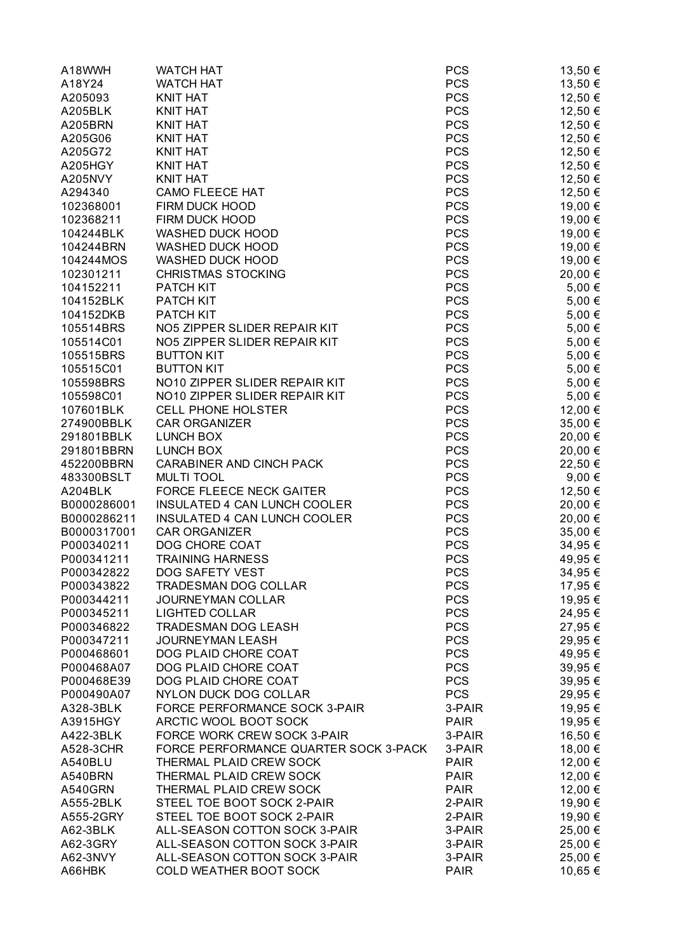| A18WWH      | <b>WATCH HAT</b>                      | <b>PCS</b>  | 13,50 €    |
|-------------|---------------------------------------|-------------|------------|
| A18Y24      | <b>WATCH HAT</b>                      | <b>PCS</b>  | 13,50 €    |
| A205093     | <b>KNIT HAT</b>                       | <b>PCS</b>  | 12,50 €    |
| A205BLK     | <b>KNIT HAT</b>                       | <b>PCS</b>  | 12,50 €    |
| A205BRN     | <b>KNIT HAT</b>                       | <b>PCS</b>  | 12,50 €    |
| A205G06     | <b>KNIT HAT</b>                       | <b>PCS</b>  | 12,50 €    |
| A205G72     | <b>KNIT HAT</b>                       | <b>PCS</b>  | 12,50 €    |
| A205HGY     | <b>KNIT HAT</b>                       | <b>PCS</b>  | 12,50 €    |
|             |                                       |             |            |
| A205NVY     | <b>KNIT HAT</b>                       | <b>PCS</b>  | 12,50 €    |
| A294340     | <b>CAMO FLEECE HAT</b>                | <b>PCS</b>  | 12,50 €    |
| 102368001   | FIRM DUCK HOOD                        | <b>PCS</b>  | 19,00 €    |
| 102368211   | FIRM DUCK HOOD                        | <b>PCS</b>  | 19,00 €    |
| 104244BLK   | <b>WASHED DUCK HOOD</b>               | <b>PCS</b>  | 19,00 €    |
| 104244BRN   | <b>WASHED DUCK HOOD</b>               | <b>PCS</b>  | 19,00 €    |
| 104244MOS   | <b>WASHED DUCK HOOD</b>               | <b>PCS</b>  | 19,00 €    |
| 102301211   | <b>CHRISTMAS STOCKING</b>             | <b>PCS</b>  | 20,00 €    |
| 104152211   | PATCH KIT                             | <b>PCS</b>  | 5,00 €     |
| 104152BLK   | PATCH KIT                             | <b>PCS</b>  | 5,00 €     |
| 104152DKB   | PATCH KIT                             | <b>PCS</b>  | 5,00 €     |
| 105514BRS   | NO5 ZIPPER SLIDER REPAIR KIT          | <b>PCS</b>  | 5,00 €     |
| 105514C01   | NO5 ZIPPER SLIDER REPAIR KIT          | <b>PCS</b>  | 5,00 €     |
| 105515BRS   | <b>BUTTON KIT</b>                     | <b>PCS</b>  | 5,00 €     |
| 105515C01   | <b>BUTTON KIT</b>                     | <b>PCS</b>  | 5,00 €     |
| 105598BRS   | NO10 ZIPPER SLIDER REPAIR KIT         | <b>PCS</b>  | $5,00 \in$ |
| 105598C01   | NO10 ZIPPER SLIDER REPAIR KIT         | <b>PCS</b>  | 5,00 €     |
| 107601BLK   | <b>CELL PHONE HOLSTER</b>             | <b>PCS</b>  | 12,00 €    |
| 274900BBLK  | <b>CAR ORGANIZER</b>                  | <b>PCS</b>  | 35,00 €    |
| 291801BBLK  | LUNCH BOX                             | <b>PCS</b>  | 20,00 €    |
| 291801BBRN  | <b>LUNCH BOX</b>                      | <b>PCS</b>  | 20,00 €    |
| 452200BBRN  | CARABINER AND CINCH PACK              | <b>PCS</b>  | 22,50 €    |
| 483300BSLT  | <b>MULTI TOOL</b>                     | PCS         | 9,00€      |
|             | FORCE FLEECE NECK GAITER              | <b>PCS</b>  |            |
| A204BLK     |                                       |             | 12,50 €    |
| B0000286001 | INSULATED 4 CAN LUNCH COOLER          | <b>PCS</b>  | 20,00 €    |
| B0000286211 | INSULATED 4 CAN LUNCH COOLER          | <b>PCS</b>  | 20,00 €    |
| B0000317001 | <b>CAR ORGANIZER</b>                  | <b>PCS</b>  | 35,00 €    |
| P000340211  | DOG CHORE COAT                        | <b>PCS</b>  | 34,95 €    |
| P000341211  | <b>TRAINING HARNESS</b>               | <b>PCS</b>  | 49,95 €    |
| P000342822  | DOG SAFETY VEST                       | <b>PCS</b>  | 34,95 €    |
| P000343822  | <b>TRADESMAN DOG COLLAR</b>           | <b>PCS</b>  | 17,95 €    |
| P000344211  | <b>JOURNEYMAN COLLAR</b>              | <b>PCS</b>  | 19,95 €    |
| P000345211  | <b>LIGHTED COLLAR</b>                 | <b>PCS</b>  | 24,95 €    |
| P000346822  | <b>TRADESMAN DOG LEASH</b>            | <b>PCS</b>  | 27,95 €    |
| P000347211  | <b>JOURNEYMAN LEASH</b>               | <b>PCS</b>  | 29,95 €    |
| P000468601  | DOG PLAID CHORE COAT                  | <b>PCS</b>  | 49,95 €    |
| P000468A07  | DOG PLAID CHORE COAT                  | <b>PCS</b>  | 39,95 €    |
| P000468E39  | DOG PLAID CHORE COAT                  | <b>PCS</b>  | 39,95 €    |
| P000490A07  | <b>NYLON DUCK DOG COLLAR</b>          | <b>PCS</b>  | 29,95 €    |
| A328-3BLK   | FORCE PERFORMANCE SOCK 3-PAIR         | 3-PAIR      | 19,95 €    |
| A3915HGY    | ARCTIC WOOL BOOT SOCK                 | <b>PAIR</b> | 19,95 €    |
| A422-3BLK   | FORCE WORK CREW SOCK 3-PAIR           | 3-PAIR      | 16,50 €    |
| A528-3CHR   | FORCE PERFORMANCE QUARTER SOCK 3-PACK | 3-PAIR      | 18,00 €    |
| A540BLU     | THERMAL PLAID CREW SOCK               | <b>PAIR</b> | 12,00 €    |
| A540BRN     | THERMAL PLAID CREW SOCK               | <b>PAIR</b> | 12,00 €    |
| A540GRN     | THERMAL PLAID CREW SOCK               | <b>PAIR</b> | 12,00 €    |
|             | STEEL TOE BOOT SOCK 2-PAIR            |             |            |
| A555-2BLK   |                                       | 2-PAIR      | 19,90 €    |
| A555-2GRY   | STEEL TOE BOOT SOCK 2-PAIR            | 2-PAIR      | 19,90 €    |
| A62-3BLK    | ALL-SEASON COTTON SOCK 3-PAIR         | 3-PAIR      | 25,00 €    |
| A62-3GRY    | ALL-SEASON COTTON SOCK 3-PAIR         | 3-PAIR      | 25,00 €    |
| A62-3NVY    | ALL-SEASON COTTON SOCK 3-PAIR         | 3-PAIR      | 25,00 €    |
| A66HBK      | COLD WEATHER BOOT SOCK                | <b>PAIR</b> | 10,65 €    |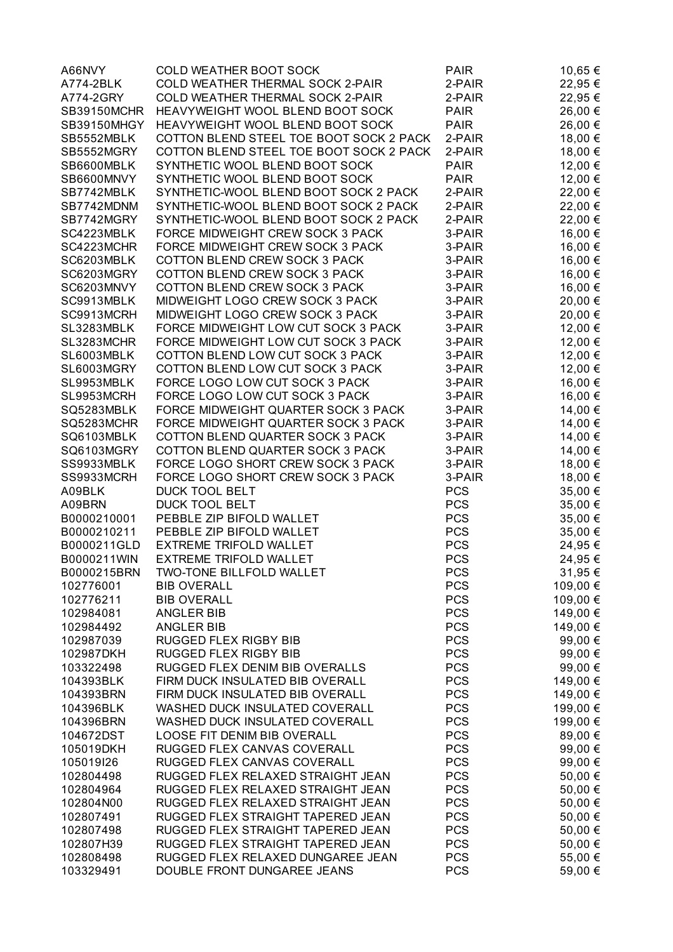| A66NVY             | COLD WEATHER BOOT SOCK                  | <b>PAIR</b> | 10,65 €  |
|--------------------|-----------------------------------------|-------------|----------|
| A774-2BLK          | COLD WEATHER THERMAL SOCK 2-PAIR        | 2-PAIR      | 22,95 €  |
| A774-2GRY          | COLD WEATHER THERMAL SOCK 2-PAIR        | 2-PAIR      | 22,95 €  |
| <b>SB39150MCHR</b> | HEAVYWEIGHT WOOL BLEND BOOT SOCK        | <b>PAIR</b> | 26,00 €  |
|                    | HEAVYWEIGHT WOOL BLEND BOOT SOCK        | <b>PAIR</b> | 26,00 €  |
| SB39150MHGY        |                                         |             |          |
| SB5552MBLK         | COTTON BLEND STEEL TOE BOOT SOCK 2 PACK | 2-PAIR      | 18,00 €  |
| SB5552MGRY         | COTTON BLEND STEEL TOE BOOT SOCK 2 PACK | 2-PAIR      | 18,00 €  |
| SB6600MBLK         | SYNTHETIC WOOL BLEND BOOT SOCK          | <b>PAIR</b> | 12,00 €  |
| SB6600MNVY         | SYNTHETIC WOOL BLEND BOOT SOCK          | <b>PAIR</b> | 12,00 €  |
| SB7742MBLK         | SYNTHETIC-WOOL BLEND BOOT SOCK 2 PACK   | 2-PAIR      | 22,00 €  |
| SB7742MDNM         | SYNTHETIC-WOOL BLEND BOOT SOCK 2 PACK   | 2-PAIR      | 22,00 €  |
| SB7742MGRY         | SYNTHETIC-WOOL BLEND BOOT SOCK 2 PACK   | 2-PAIR      | 22,00 €  |
| SC4223MBLK         | FORCE MIDWEIGHT CREW SOCK 3 PACK        | 3-PAIR      | 16,00 €  |
| SC4223MCHR         | FORCE MIDWEIGHT CREW SOCK 3 PACK        | 3-PAIR      | 16,00 €  |
| SC6203MBLK         | COTTON BLEND CREW SOCK 3 PACK           | 3-PAIR      | 16,00 €  |
| SC6203MGRY         | COTTON BLEND CREW SOCK 3 PACK           | 3-PAIR      | 16,00 €  |
| SC6203MNVY         | COTTON BLEND CREW SOCK 3 PACK           | 3-PAIR      | 16,00 €  |
| SC9913MBLK         | MIDWEIGHT LOGO CREW SOCK 3 PACK         | 3-PAIR      | 20,00 €  |
| SC9913MCRH         | MIDWEIGHT LOGO CREW SOCK 3 PACK         | 3-PAIR      | 20,00 €  |
| SL3283MBLK         | FORCE MIDWEIGHT LOW CUT SOCK 3 PACK     | 3-PAIR      | 12,00 €  |
| SL3283MCHR         | FORCE MIDWEIGHT LOW CUT SOCK 3 PACK     | 3-PAIR      | 12,00 €  |
| SL6003MBLK         | COTTON BLEND LOW CUT SOCK 3 PACK        | 3-PAIR      | 12,00 €  |
| SL6003MGRY         | COTTON BLEND LOW CUT SOCK 3 PACK        | 3-PAIR      | 12,00 €  |
| SL9953MBLK         | FORCE LOGO LOW CUT SOCK 3 PACK          | 3-PAIR      | 16,00 €  |
| SL9953MCRH         | FORCE LOGO LOW CUT SOCK 3 PACK          | 3-PAIR      | 16,00 €  |
| SQ5283MBLK         | FORCE MIDWEIGHT QUARTER SOCK 3 PACK     | 3-PAIR      | 14,00 €  |
| SQ5283MCHR         | FORCE MIDWEIGHT QUARTER SOCK 3 PACK     | 3-PAIR      | 14,00 €  |
|                    |                                         |             |          |
| SQ6103MBLK         | COTTON BLEND QUARTER SOCK 3 PACK        | 3-PAIR      | 14,00 €  |
| SQ6103MGRY         | COTTON BLEND QUARTER SOCK 3 PACK        | 3-PAIR      | 14,00 €  |
| SS9933MBLK         | FORCE LOGO SHORT CREW SOCK 3 PACK       | 3-PAIR      | 18,00 €  |
| SS9933MCRH         | FORCE LOGO SHORT CREW SOCK 3 PACK       | 3-PAIR      | 18,00 €  |
| A09BLK             | <b>DUCK TOOL BELT</b>                   | <b>PCS</b>  | 35,00 €  |
| A09BRN             | <b>DUCK TOOL BELT</b>                   | <b>PCS</b>  | 35,00 €  |
| B0000210001        | PEBBLE ZIP BIFOLD WALLET                | <b>PCS</b>  | 35,00 €  |
| B0000210211        | PEBBLE ZIP BIFOLD WALLET                | <b>PCS</b>  | 35,00 €  |
| B0000211GLD        | <b>EXTREME TRIFOLD WALLET</b>           | <b>PCS</b>  | 24,95 €  |
| B0000211WIN        | <b>EXTREME TRIFOLD WALLET</b>           | <b>PCS</b>  | 24,95 €  |
| B0000215BRN        | TWO-TONE BILLFOLD WALLET                | <b>PCS</b>  | 31,95 €  |
| 102776001          | <b>BIB OVERALL</b>                      | <b>PCS</b>  | 109,00 € |
| 102776211          | <b>BIB OVERALL</b>                      | <b>PCS</b>  | 109,00 € |
| 102984081          | <b>ANGLER BIB</b>                       | <b>PCS</b>  | 149,00 € |
| 102984492          | <b>ANGLER BIB</b>                       | <b>PCS</b>  | 149,00 € |
| 102987039          | RUGGED FLEX RIGBY BIB                   | <b>PCS</b>  | 99,00 €  |
| 102987DKH          | RUGGED FLEX RIGBY BIB                   | <b>PCS</b>  | 99,00 €  |
| 103322498          | RUGGED FLEX DENIM BIB OVERALLS          | <b>PCS</b>  | 99,00 €  |
| 104393BLK          | FIRM DUCK INSULATED BIB OVERALL         | <b>PCS</b>  | 149,00 € |
| 104393BRN          | FIRM DUCK INSULATED BIB OVERALL         | <b>PCS</b>  | 149,00 € |
| 104396BLK          | WASHED DUCK INSULATED COVERALL          | <b>PCS</b>  | 199,00 € |
| 104396BRN          | WASHED DUCK INSULATED COVERALL          | <b>PCS</b>  | 199,00 € |
| 104672DST          | LOOSE FIT DENIM BIB OVERALL             | <b>PCS</b>  | 89,00 €  |
| 105019DKH          | RUGGED FLEX CANVAS COVERALL             | <b>PCS</b>  | 99,00 €  |
| 105019I26          | RUGGED FLEX CANVAS COVERALL             | <b>PCS</b>  | 99,00 €  |
| 102804498          | RUGGED FLEX RELAXED STRAIGHT JEAN       | <b>PCS</b>  | 50,00 €  |
|                    |                                         |             |          |
| 102804964          | RUGGED FLEX RELAXED STRAIGHT JEAN       | <b>PCS</b>  | 50,00 €  |
| 102804N00          | RUGGED FLEX RELAXED STRAIGHT JEAN       | <b>PCS</b>  | 50,00 €  |
| 102807491          | RUGGED FLEX STRAIGHT TAPERED JEAN       | <b>PCS</b>  | 50,00 €  |
| 102807498          | RUGGED FLEX STRAIGHT TAPERED JEAN       | <b>PCS</b>  | 50,00 €  |
| 102807H39          | RUGGED FLEX STRAIGHT TAPERED JEAN       | <b>PCS</b>  | 50,00 €  |
| 102808498          | RUGGED FLEX RELAXED DUNGAREE JEAN       | <b>PCS</b>  | 55,00 €  |
| 103329491          | DOUBLE FRONT DUNGAREE JEANS             | <b>PCS</b>  | 59,00 €  |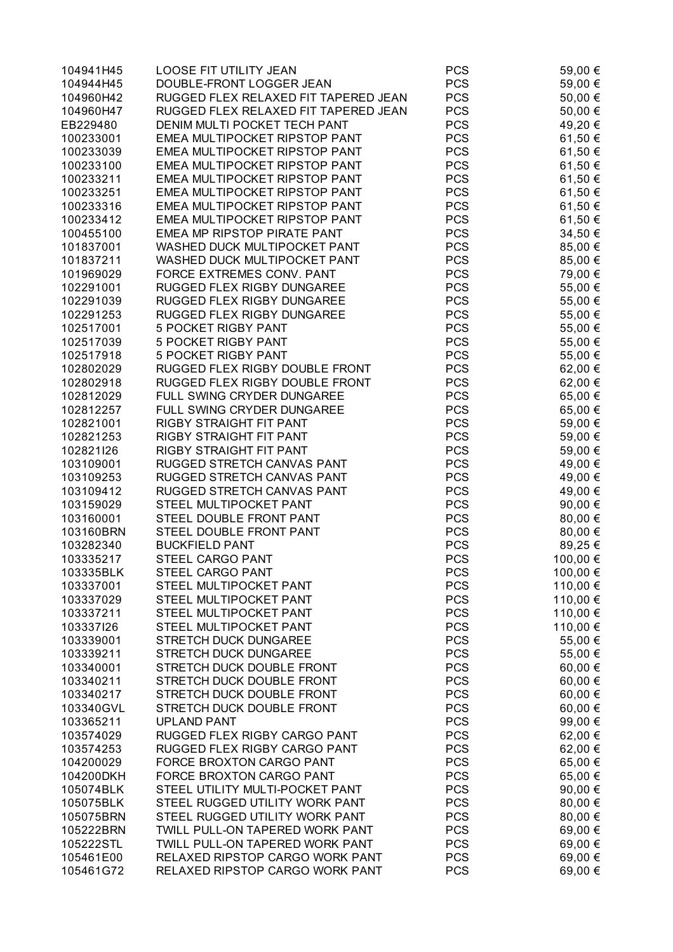| 104941H45 | LOOSE FIT UTILITY JEAN               | <b>PCS</b> | 59,00 €  |
|-----------|--------------------------------------|------------|----------|
| 104944H45 | DOUBLE-FRONT LOGGER JEAN             | <b>PCS</b> | 59,00 €  |
| 104960H42 | RUGGED FLEX RELAXED FIT TAPERED JEAN | <b>PCS</b> | 50,00 €  |
| 104960H47 | RUGGED FLEX RELAXED FIT TAPERED JEAN | <b>PCS</b> | 50,00 €  |
| EB229480  | DENIM MULTI POCKET TECH PANT         | <b>PCS</b> | 49,20 €  |
| 100233001 | EMEA MULTIPOCKET RIPSTOP PANT        | <b>PCS</b> | 61,50 €  |
| 100233039 | EMEA MULTIPOCKET RIPSTOP PANT        | <b>PCS</b> | 61,50 €  |
| 100233100 | EMEA MULTIPOCKET RIPSTOP PANT        | <b>PCS</b> | 61,50 €  |
| 100233211 | EMEA MULTIPOCKET RIPSTOP PANT        | <b>PCS</b> | 61,50 €  |
| 100233251 | EMEA MULTIPOCKET RIPSTOP PANT        | <b>PCS</b> | 61,50 €  |
| 100233316 | EMEA MULTIPOCKET RIPSTOP PANT        | <b>PCS</b> | 61,50 €  |
| 100233412 | EMEA MULTIPOCKET RIPSTOP PANT        | <b>PCS</b> | 61,50 €  |
| 100455100 | EMEA MP RIPSTOP PIRATE PANT          | <b>PCS</b> | 34,50 €  |
| 101837001 | WASHED DUCK MULTIPOCKET PANT         | <b>PCS</b> | 85,00 €  |
| 101837211 | WASHED DUCK MULTIPOCKET PANT         | <b>PCS</b> | 85,00 €  |
| 101969029 | FORCE EXTREMES CONV. PANT            | <b>PCS</b> | 79,00 €  |
| 102291001 | RUGGED FLEX RIGBY DUNGAREE           | <b>PCS</b> | 55,00 €  |
| 102291039 | RUGGED FLEX RIGBY DUNGAREE           | <b>PCS</b> | 55,00 €  |
| 102291253 | RUGGED FLEX RIGBY DUNGAREE           | <b>PCS</b> | 55,00 €  |
|           | <b>5 POCKET RIGBY PANT</b>           | <b>PCS</b> |          |
| 102517001 | <b>5 POCKET RIGBY PANT</b>           | <b>PCS</b> | 55,00 €  |
| 102517039 |                                      |            | 55,00 €  |
| 102517918 | <b>5 POCKET RIGBY PANT</b>           | <b>PCS</b> | 55,00 €  |
| 102802029 | RUGGED FLEX RIGBY DOUBLE FRONT       | <b>PCS</b> | 62,00 €  |
| 102802918 | RUGGED FLEX RIGBY DOUBLE FRONT       | <b>PCS</b> | 62,00 €  |
| 102812029 | FULL SWING CRYDER DUNGAREE           | <b>PCS</b> | 65,00 €  |
| 102812257 | FULL SWING CRYDER DUNGAREE           | <b>PCS</b> | 65,00 €  |
| 102821001 | RIGBY STRAIGHT FIT PANT              | <b>PCS</b> | 59,00 €  |
| 102821253 | RIGBY STRAIGHT FIT PANT              | <b>PCS</b> | 59,00 €  |
| 102821l26 | RIGBY STRAIGHT FIT PANT              | <b>PCS</b> | 59,00 €  |
| 103109001 | RUGGED STRETCH CANVAS PANT           | <b>PCS</b> | 49,00 €  |
| 103109253 | RUGGED STRETCH CANVAS PANT           | <b>PCS</b> | 49,00 €  |
| 103109412 | RUGGED STRETCH CANVAS PANT           | <b>PCS</b> | 49,00 €  |
| 103159029 | STEEL MULTIPOCKET PANT               | <b>PCS</b> | 90,00 €  |
| 103160001 | STEEL DOUBLE FRONT PANT              | <b>PCS</b> | 80,00 €  |
| 103160BRN | STEEL DOUBLE FRONT PANT              | <b>PCS</b> | 80,00 €  |
| 103282340 | <b>BUCKFIELD PANT</b>                | <b>PCS</b> | 89,25 €  |
| 103335217 | STEEL CARGO PANT                     | <b>PCS</b> | 100,00 € |
| 103335BLK | STEEL CARGO PANT                     | <b>PCS</b> | 100,00 € |
| 103337001 | STEEL MULTIPOCKET PANT               | <b>PCS</b> | 110,00 € |
| 103337029 | STEEL MULTIPOCKET PANT               | <b>PCS</b> | 110,00 € |
| 103337211 | STEEL MULTIPOCKET PANT               | <b>PCS</b> | 110,00 € |
| 103337126 | STEEL MULTIPOCKET PANT               | <b>PCS</b> | 110,00 € |
| 103339001 | STRETCH DUCK DUNGAREE                | <b>PCS</b> | 55,00 €  |
| 103339211 | STRETCH DUCK DUNGAREE                | <b>PCS</b> | 55,00 €  |
| 103340001 | STRETCH DUCK DOUBLE FRONT            | <b>PCS</b> | 60,00 €  |
| 103340211 | STRETCH DUCK DOUBLE FRONT            | <b>PCS</b> | 60,00 €  |
| 103340217 | STRETCH DUCK DOUBLE FRONT            | <b>PCS</b> | 60,00 €  |
| 103340GVL | STRETCH DUCK DOUBLE FRONT            | <b>PCS</b> | 60,00 €  |
| 103365211 | <b>UPLAND PANT</b>                   | <b>PCS</b> | 99,00 €  |
| 103574029 | RUGGED FLEX RIGBY CARGO PANT         | <b>PCS</b> | 62,00 €  |
| 103574253 | RUGGED FLEX RIGBY CARGO PANT         | <b>PCS</b> | 62,00 €  |
| 104200029 | FORCE BROXTON CARGO PANT             | <b>PCS</b> | 65,00 €  |
| 104200DKH | FORCE BROXTON CARGO PANT             | <b>PCS</b> | 65,00 €  |
| 105074BLK | STEEL UTILITY MULTI-POCKET PANT      | <b>PCS</b> | 90,00 €  |
| 105075BLK | STEEL RUGGED UTILITY WORK PANT       | <b>PCS</b> | 80,00 €  |
| 105075BRN | STEEL RUGGED UTILITY WORK PANT       | <b>PCS</b> | 80,00 €  |
| 105222BRN | TWILL PULL-ON TAPERED WORK PANT      | <b>PCS</b> | 69,00 €  |
| 105222STL | TWILL PULL-ON TAPERED WORK PANT      | <b>PCS</b> | 69,00 €  |
| 105461E00 | RELAXED RIPSTOP CARGO WORK PANT      | <b>PCS</b> | 69,00 €  |
| 105461G72 | RELAXED RIPSTOP CARGO WORK PANT      | <b>PCS</b> | 69,00 €  |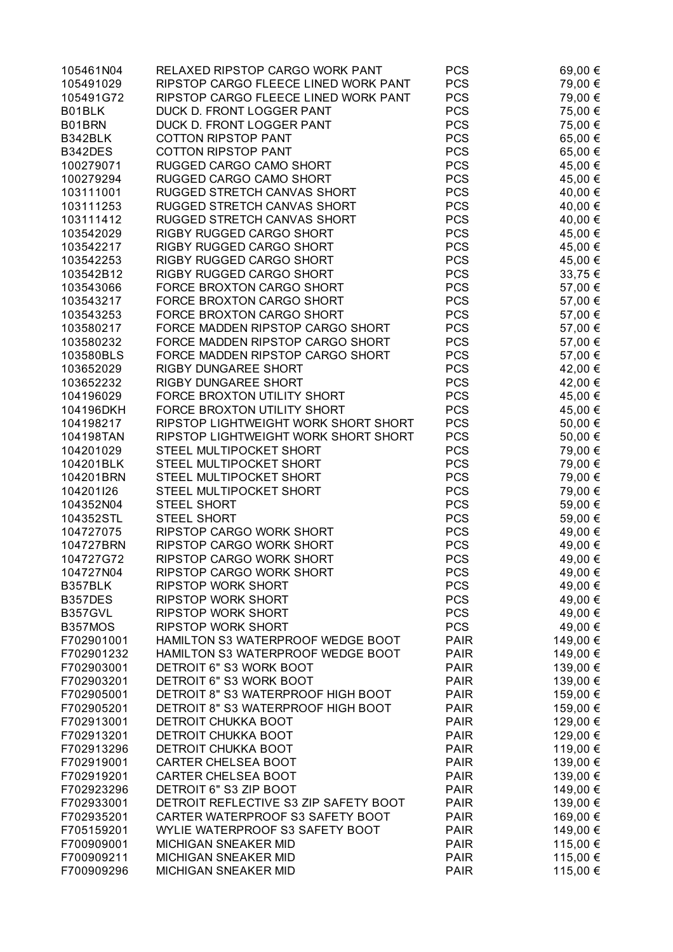| 105461N04      | RELAXED RIPSTOP CARGO WORK PANT       | <b>PCS</b>  | 69,00 €  |
|----------------|---------------------------------------|-------------|----------|
| 105491029      | RIPSTOP CARGO FLEECE LINED WORK PANT  | <b>PCS</b>  | 79,00 €  |
| 105491G72      | RIPSTOP CARGO FLEECE LINED WORK PANT  | <b>PCS</b>  | 79,00 €  |
| B01BLK         | DUCK D. FRONT LOGGER PANT             | <b>PCS</b>  | 75,00 €  |
| B01BRN         | DUCK D. FRONT LOGGER PANT             | <b>PCS</b>  | 75,00 €  |
| B342BLK        | <b>COTTON RIPSTOP PANT</b>            | <b>PCS</b>  | 65,00 €  |
| B342DES        | <b>COTTON RIPSTOP PANT</b>            | <b>PCS</b>  | 65,00 €  |
| 100279071      | RUGGED CARGO CAMO SHORT               | <b>PCS</b>  | 45,00 €  |
| 100279294      | RUGGED CARGO CAMO SHORT               | <b>PCS</b>  | 45,00 €  |
| 103111001      | RUGGED STRETCH CANVAS SHORT           | <b>PCS</b>  | 40,00 €  |
| 103111253      |                                       | <b>PCS</b>  |          |
|                | RUGGED STRETCH CANVAS SHORT           |             | 40,00 €  |
| 103111412      | RUGGED STRETCH CANVAS SHORT           | <b>PCS</b>  | 40,00 €  |
| 103542029      | RIGBY RUGGED CARGO SHORT              | <b>PCS</b>  | 45,00 €  |
| 103542217      | RIGBY RUGGED CARGO SHORT              | <b>PCS</b>  | 45,00 €  |
| 103542253      | RIGBY RUGGED CARGO SHORT              | <b>PCS</b>  | 45,00 €  |
| 103542B12      | RIGBY RUGGED CARGO SHORT              | <b>PCS</b>  | 33,75 €  |
| 103543066      | FORCE BROXTON CARGO SHORT             | <b>PCS</b>  | 57,00 €  |
| 103543217      | FORCE BROXTON CARGO SHORT             | <b>PCS</b>  | 57,00 €  |
| 103543253      | FORCE BROXTON CARGO SHORT             | <b>PCS</b>  | 57,00 €  |
| 103580217      | FORCE MADDEN RIPSTOP CARGO SHORT      | <b>PCS</b>  | 57,00 €  |
| 103580232      | FORCE MADDEN RIPSTOP CARGO SHORT      | <b>PCS</b>  | 57,00 €  |
| 103580BLS      | FORCE MADDEN RIPSTOP CARGO SHORT      | <b>PCS</b>  | 57,00 €  |
| 103652029      | RIGBY DUNGAREE SHORT                  | <b>PCS</b>  | 42,00 €  |
| 103652232      | RIGBY DUNGAREE SHORT                  | <b>PCS</b>  | 42,00 €  |
| 104196029      | FORCE BROXTON UTILITY SHORT           | <b>PCS</b>  | 45,00 €  |
| 104196DKH      | FORCE BROXTON UTILITY SHORT           | <b>PCS</b>  | 45,00 €  |
| 104198217      | RIPSTOP LIGHTWEIGHT WORK SHORT SHORT  | <b>PCS</b>  | 50,00 €  |
| 104198TAN      | RIPSTOP LIGHTWEIGHT WORK SHORT SHORT  | <b>PCS</b>  | 50,00 €  |
| 104201029      | STEEL MULTIPOCKET SHORT               | <b>PCS</b>  | 79,00 €  |
| 104201BLK      | STEEL MULTIPOCKET SHORT               | <b>PCS</b>  | 79,00 €  |
| 104201BRN      | STEEL MULTIPOCKET SHORT               | <b>PCS</b>  | 79,00 €  |
| 104201l26      | STEEL MULTIPOCKET SHORT               | <b>PCS</b>  | 79,00 €  |
| 104352N04      | <b>STEEL SHORT</b>                    | <b>PCS</b>  | 59,00 €  |
| 104352STL      | <b>STEEL SHORT</b>                    | <b>PCS</b>  | 59,00 €  |
| 104727075      | RIPSTOP CARGO WORK SHORT              | <b>PCS</b>  | 49,00 €  |
| 104727BRN      | RIPSTOP CARGO WORK SHORT              | <b>PCS</b>  | 49,00 €  |
| 104727G72      | RIPSTOP CARGO WORK SHORT              | <b>PCS</b>  | 49,00 €  |
| 104727N04      | RIPSTOP CARGO WORK SHORT              | <b>PCS</b>  | 49,00 €  |
| B357BLK        | <b>RIPSTOP WORK SHORT</b>             | <b>PCS</b>  | 49,00 €  |
| B357DES        | <b>RIPSTOP WORK SHORT</b>             | <b>PCS</b>  |          |
|                |                                       |             | 49,00 €  |
| <b>B357GVL</b> | <b>RIPSTOP WORK SHORT</b>             | <b>PCS</b>  | 49,00 €  |
| B357MOS        | <b>RIPSTOP WORK SHORT</b>             | <b>PCS</b>  | 49,00 €  |
| F702901001     | HAMILTON S3 WATERPROOF WEDGE BOOT     | <b>PAIR</b> | 149,00 € |
| F702901232     | HAMILTON S3 WATERPROOF WEDGE BOOT     | <b>PAIR</b> | 149,00 € |
| F702903001     | DETROIT 6" S3 WORK BOOT               | <b>PAIR</b> | 139,00 € |
| F702903201     | DETROIT 6" S3 WORK BOOT               | <b>PAIR</b> | 139,00 € |
| F702905001     | DETROIT 8" S3 WATERPROOF HIGH BOOT    | <b>PAIR</b> | 159,00 € |
| F702905201     | DETROIT 8" S3 WATERPROOF HIGH BOOT    | <b>PAIR</b> | 159,00 € |
| F702913001     | <b>DETROIT CHUKKA BOOT</b>            | <b>PAIR</b> | 129,00 € |
| F702913201     | <b>DETROIT CHUKKA BOOT</b>            | <b>PAIR</b> | 129,00 € |
| F702913296     | DETROIT CHUKKA BOOT                   | <b>PAIR</b> | 119,00 € |
| F702919001     | <b>CARTER CHELSEA BOOT</b>            | <b>PAIR</b> | 139,00 € |
| F702919201     | <b>CARTER CHELSEA BOOT</b>            | <b>PAIR</b> | 139,00 € |
| F702923296     | DETROIT 6" S3 ZIP BOOT                | <b>PAIR</b> | 149,00 € |
| F702933001     | DETROIT REFLECTIVE S3 ZIP SAFETY BOOT | <b>PAIR</b> | 139,00 € |
| F702935201     | CARTER WATERPROOF S3 SAFETY BOOT      | <b>PAIR</b> | 169,00 € |
| F705159201     | WYLIE WATERPROOF S3 SAFETY BOOT       | <b>PAIR</b> | 149,00 € |
| F700909001     | <b>MICHIGAN SNEAKER MID</b>           | <b>PAIR</b> | 115,00 € |
| F700909211     | <b>MICHIGAN SNEAKER MID</b>           | <b>PAIR</b> | 115,00 € |
| F700909296     | MICHIGAN SNEAKER MID                  | <b>PAIR</b> | 115,00 € |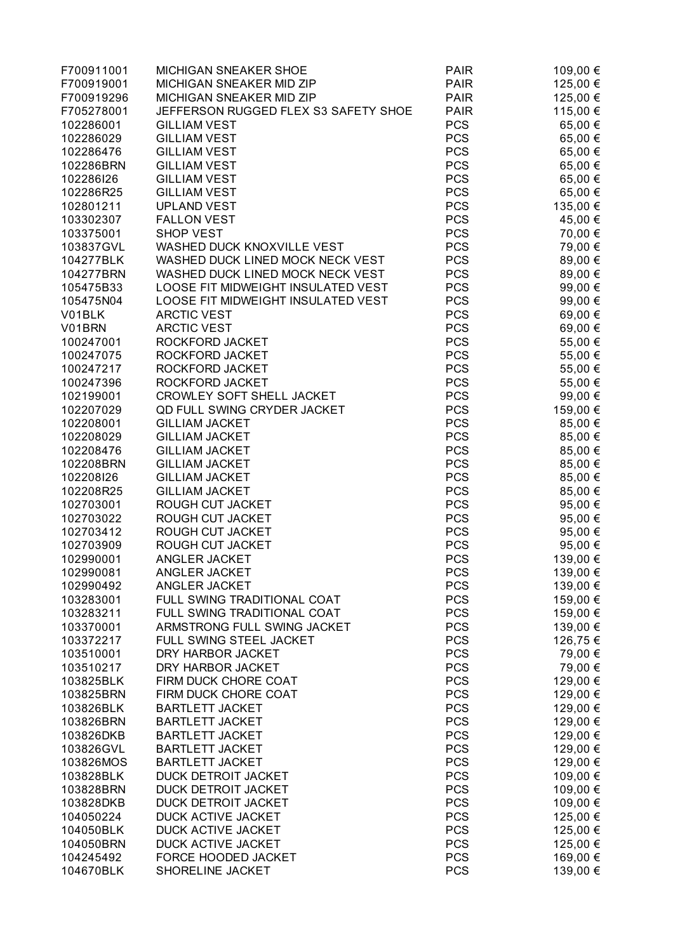| F700911001 | <b>MICHIGAN SNEAKER SHOE</b>         | <b>PAIR</b> | 109,00 € |
|------------|--------------------------------------|-------------|----------|
| F700919001 | MICHIGAN SNEAKER MID ZIP             | <b>PAIR</b> | 125,00 € |
| F700919296 | MICHIGAN SNEAKER MID ZIP             | <b>PAIR</b> | 125,00 € |
| F705278001 | JEFFERSON RUGGED FLEX S3 SAFETY SHOE | <b>PAIR</b> | 115,00 € |
| 102286001  | <b>GILLIAM VEST</b>                  | <b>PCS</b>  | 65,00 €  |
| 102286029  | <b>GILLIAM VEST</b>                  | <b>PCS</b>  | 65,00 €  |
| 102286476  | <b>GILLIAM VEST</b>                  | <b>PCS</b>  | 65,00 €  |
| 102286BRN  | <b>GILLIAM VEST</b>                  | <b>PCS</b>  | 65,00 €  |
| 102286126  | <b>GILLIAM VEST</b>                  | <b>PCS</b>  | 65,00 €  |
| 102286R25  | <b>GILLIAM VEST</b>                  | <b>PCS</b>  | 65,00 €  |
| 102801211  | <b>UPLAND VEST</b>                   | <b>PCS</b>  | 135,00 € |
| 103302307  | <b>FALLON VEST</b>                   | <b>PCS</b>  | 45,00 €  |
| 103375001  | <b>SHOP VEST</b>                     | <b>PCS</b>  | 70,00 €  |
| 103837GVL  | WASHED DUCK KNOXVILLE VEST           | <b>PCS</b>  | 79,00 €  |
| 104277BLK  | WASHED DUCK LINED MOCK NECK VEST     | <b>PCS</b>  | 89,00 €  |
| 104277BRN  | WASHED DUCK LINED MOCK NECK VEST     | <b>PCS</b>  | 89,00 €  |
| 105475B33  | LOOSE FIT MIDWEIGHT INSULATED VEST   | <b>PCS</b>  | 99,00 €  |
| 105475N04  | LOOSE FIT MIDWEIGHT INSULATED VEST   | <b>PCS</b>  | 99,00 €  |
| V01BLK     | <b>ARCTIC VEST</b>                   | <b>PCS</b>  |          |
| V01BRN     |                                      | <b>PCS</b>  | 69,00 €  |
|            | <b>ARCTIC VEST</b>                   |             | 69,00 €  |
| 100247001  | ROCKFORD JACKET                      | <b>PCS</b>  | 55,00 €  |
| 100247075  | ROCKFORD JACKET                      | <b>PCS</b>  | 55,00 €  |
| 100247217  | ROCKFORD JACKET                      | <b>PCS</b>  | 55,00 €  |
| 100247396  | ROCKFORD JACKET                      | <b>PCS</b>  | 55,00 €  |
| 102199001  | CROWLEY SOFT SHELL JACKET            | <b>PCS</b>  | 99,00 €  |
| 102207029  | <b>QD FULL SWING CRYDER JACKET</b>   | <b>PCS</b>  | 159,00 € |
| 102208001  | <b>GILLIAM JACKET</b>                | <b>PCS</b>  | 85,00 €  |
| 102208029  | <b>GILLIAM JACKET</b>                | <b>PCS</b>  | 85,00 €  |
| 102208476  | <b>GILLIAM JACKET</b>                | <b>PCS</b>  | 85,00 €  |
| 102208BRN  | <b>GILLIAM JACKET</b>                | <b>PCS</b>  | 85,00 €  |
| 102208126  | <b>GILLIAM JACKET</b>                | <b>PCS</b>  | 85,00 €  |
| 102208R25  | <b>GILLIAM JACKET</b>                | <b>PCS</b>  | 85,00 €  |
| 102703001  | ROUGH CUT JACKET                     | <b>PCS</b>  | 95,00 €  |
| 102703022  | ROUGH CUT JACKET                     | <b>PCS</b>  | 95,00 €  |
| 102703412  | ROUGH CUT JACKET                     | <b>PCS</b>  | 95,00 €  |
| 102703909  | ROUGH CUT JACKET                     | <b>PCS</b>  | 95,00 €  |
| 102990001  | ANGLER JACKET                        | <b>PCS</b>  | 139,00 € |
| 102990081  | ANGLER JACKET                        | <b>PCS</b>  | 139,00 € |
| 102990492  | ANGLER JACKET                        | <b>PCS</b>  | 139,00 € |
| 103283001  | FULL SWING TRADITIONAL COAT          | <b>PCS</b>  | 159,00 € |
| 103283211  | FULL SWING TRADITIONAL COAT          | <b>PCS</b>  | 159,00 € |
| 103370001  | ARMSTRONG FULL SWING JACKET          | <b>PCS</b>  | 139,00 € |
| 103372217  | FULL SWING STEEL JACKET              | <b>PCS</b>  | 126,75 € |
| 103510001  | DRY HARBOR JACKET                    | <b>PCS</b>  | 79,00 €  |
| 103510217  | DRY HARBOR JACKET                    | <b>PCS</b>  | 79,00 €  |
| 103825BLK  | FIRM DUCK CHORE COAT                 | <b>PCS</b>  | 129,00 € |
| 103825BRN  | FIRM DUCK CHORE COAT                 | <b>PCS</b>  | 129,00 € |
| 103826BLK  | <b>BARTLETT JACKET</b>               | <b>PCS</b>  | 129,00 € |
| 103826BRN  | <b>BARTLETT JACKET</b>               | <b>PCS</b>  | 129,00 € |
| 103826DKB  | <b>BARTLETT JACKET</b>               | <b>PCS</b>  | 129,00 € |
| 103826GVL  | <b>BARTLETT JACKET</b>               | <b>PCS</b>  | 129,00 € |
| 103826MOS  | <b>BARTLETT JACKET</b>               | <b>PCS</b>  | 129,00 € |
| 103828BLK  | DUCK DETROIT JACKET                  | <b>PCS</b>  | 109,00 € |
| 103828BRN  | DUCK DETROIT JACKET                  | <b>PCS</b>  | 109,00 € |
| 103828DKB  | DUCK DETROIT JACKET                  | <b>PCS</b>  | 109,00 € |
| 104050224  | DUCK ACTIVE JACKET                   | <b>PCS</b>  | 125,00 € |
| 104050BLK  | DUCK ACTIVE JACKET                   | <b>PCS</b>  | 125,00 € |
| 104050BRN  | DUCK ACTIVE JACKET                   | <b>PCS</b>  | 125,00 € |
| 104245492  | FORCE HOODED JACKET                  | <b>PCS</b>  | 169,00 € |
| 104670BLK  | SHORELINE JACKET                     | <b>PCS</b>  | 139,00 € |
|            |                                      |             |          |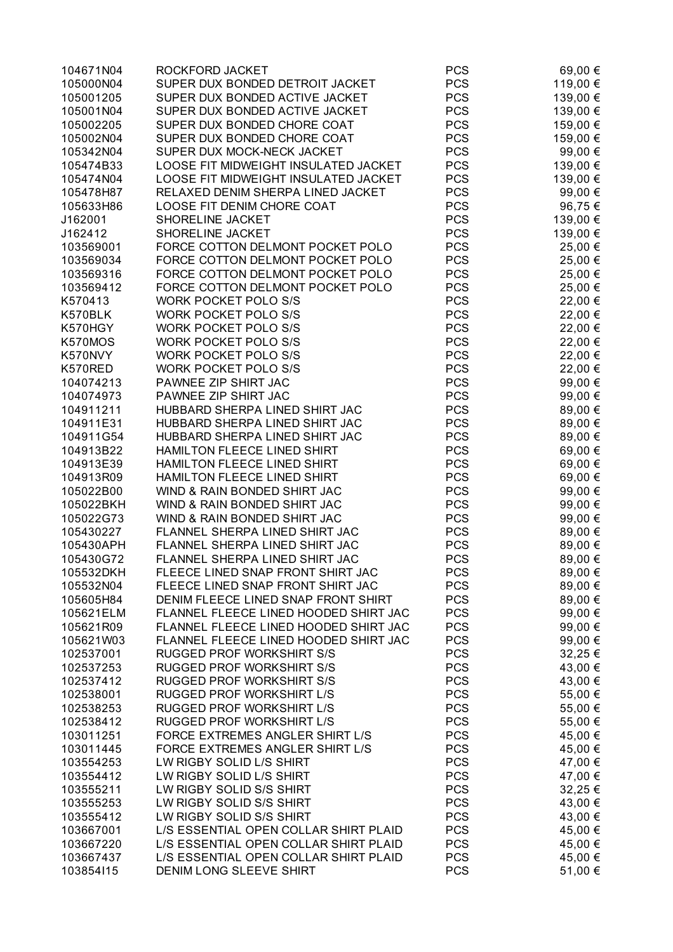| 104671N04 | ROCKFORD JACKET                       | <b>PCS</b> | 69,00 €  |
|-----------|---------------------------------------|------------|----------|
| 105000N04 | SUPER DUX BONDED DETROIT JACKET       | <b>PCS</b> | 119,00 € |
| 105001205 | SUPER DUX BONDED ACTIVE JACKET        | <b>PCS</b> | 139,00 € |
| 105001N04 | SUPER DUX BONDED ACTIVE JACKET        | <b>PCS</b> | 139,00 € |
| 105002205 | SUPER DUX BONDED CHORE COAT           | <b>PCS</b> | 159,00 € |
| 105002N04 | SUPER DUX BONDED CHORE COAT           | <b>PCS</b> | 159,00 € |
| 105342N04 | SUPER DUX MOCK-NECK JACKET            | <b>PCS</b> | 99,00 €  |
| 105474B33 | LOOSE FIT MIDWEIGHT INSULATED JACKET  | <b>PCS</b> | 139,00 € |
| 105474N04 | LOOSE FIT MIDWEIGHT INSULATED JACKET  | <b>PCS</b> | 139,00 € |
| 105478H87 | RELAXED DENIM SHERPA LINED JACKET     | <b>PCS</b> | 99,00 €  |
| 105633H86 | LOOSE FIT DENIM CHORE COAT            | <b>PCS</b> | 96,75€   |
| J162001   | SHORELINE JACKET                      | <b>PCS</b> | 139,00 € |
| J162412   | SHORELINE JACKET                      | <b>PCS</b> | 139,00 € |
| 103569001 | FORCE COTTON DELMONT POCKET POLO      | <b>PCS</b> | 25,00 €  |
| 103569034 | FORCE COTTON DELMONT POCKET POLO      | <b>PCS</b> | 25,00 €  |
| 103569316 | FORCE COTTON DELMONT POCKET POLO      | <b>PCS</b> | 25,00 €  |
| 103569412 | FORCE COTTON DELMONT POCKET POLO      | <b>PCS</b> | 25,00 €  |
| K570413   | <b>WORK POCKET POLO S/S</b>           | <b>PCS</b> | 22,00 €  |
| K570BLK   | <b>WORK POCKET POLO S/S</b>           | <b>PCS</b> | 22,00 €  |
| K570HGY   | <b>WORK POCKET POLO S/S</b>           | <b>PCS</b> | 22,00 €  |
| K570MOS   | <b>WORK POCKET POLO S/S</b>           | <b>PCS</b> | 22,00 €  |
| K570NVY   | <b>WORK POCKET POLO S/S</b>           | <b>PCS</b> | 22,00 €  |
| K570RED   | <b>WORK POCKET POLO S/S</b>           | <b>PCS</b> |          |
| 104074213 | PAWNEE ZIP SHIRT JAC                  | <b>PCS</b> | 22,00 €  |
|           | PAWNEE ZIP SHIRT JAC                  | <b>PCS</b> | 99,00 €  |
| 104074973 |                                       |            | 99,00 €  |
| 104911211 | HUBBARD SHERPA LINED SHIRT JAC        | <b>PCS</b> | 89,00 €  |
| 104911E31 | HUBBARD SHERPA LINED SHIRT JAC        | <b>PCS</b> | 89,00 €  |
| 104911G54 | HUBBARD SHERPA LINED SHIRT JAC        | <b>PCS</b> | 89,00 €  |
| 104913B22 | HAMILTON FLEECE LINED SHIRT           | <b>PCS</b> | 69,00 €  |
| 104913E39 | HAMILTON FLEECE LINED SHIRT           | <b>PCS</b> | 69,00 €  |
| 104913R09 | HAMILTON FLEECE LINED SHIRT           | <b>PCS</b> | 69,00 €  |
| 105022B00 | WIND & RAIN BONDED SHIRT JAC          | <b>PCS</b> | 99,00 €  |
| 105022BKH | WIND & RAIN BONDED SHIRT JAC          | <b>PCS</b> | 99,00 €  |
| 105022G73 | WIND & RAIN BONDED SHIRT JAC          | <b>PCS</b> | 99,00 €  |
| 105430227 | FLANNEL SHERPA LINED SHIRT JAC        | <b>PCS</b> | 89,00 €  |
| 105430APH | FLANNEL SHERPA LINED SHIRT JAC        | <b>PCS</b> | 89,00 €  |
| 105430G72 | FLANNEL SHERPA LINED SHIRT JAC        | <b>PCS</b> | 89,00 €  |
| 105532DKH | FLEECE LINED SNAP FRONT SHIRT JAC     | <b>PCS</b> | 89,00 €  |
| 105532N04 | FLEECE LINED SNAP FRONT SHIRT JAC     | <b>PCS</b> | 89,00 €  |
| 105605H84 | DENIM FLEECE LINED SNAP FRONT SHIRT   | <b>PCS</b> | 89,00 €  |
| 105621ELM | FLANNEL FLEECE LINED HOODED SHIRT JAC | <b>PCS</b> | 99,00 €  |
| 105621R09 | FLANNEL FLEECE LINED HOODED SHIRT JAC | <b>PCS</b> | 99,00 €  |
| 105621W03 | FLANNEL FLEECE LINED HOODED SHIRT JAC | <b>PCS</b> | 99,00 €  |
| 102537001 | <b>RUGGED PROF WORKSHIRT S/S</b>      | <b>PCS</b> | 32,25 €  |
| 102537253 | <b>RUGGED PROF WORKSHIRT S/S</b>      | <b>PCS</b> | 43,00 €  |
| 102537412 | <b>RUGGED PROF WORKSHIRT S/S</b>      | <b>PCS</b> | 43,00 €  |
| 102538001 | <b>RUGGED PROF WORKSHIRT L/S</b>      | <b>PCS</b> | 55,00 €  |
| 102538253 | RUGGED PROF WORKSHIRT L/S             | <b>PCS</b> | 55,00 €  |
| 102538412 | <b>RUGGED PROF WORKSHIRT L/S</b>      | <b>PCS</b> | 55,00 €  |
| 103011251 | FORCE EXTREMES ANGLER SHIRT L/S       | <b>PCS</b> | 45,00 €  |
| 103011445 | FORCE EXTREMES ANGLER SHIRT L/S       | <b>PCS</b> | 45,00 €  |
| 103554253 | LW RIGBY SOLID L/S SHIRT              | <b>PCS</b> | 47,00 €  |
| 103554412 | LW RIGBY SOLID L/S SHIRT              | <b>PCS</b> | 47,00 €  |
| 103555211 | LW RIGBY SOLID S/S SHIRT              | <b>PCS</b> | 32,25 €  |
| 103555253 | LW RIGBY SOLID S/S SHIRT              | <b>PCS</b> | 43,00 €  |
| 103555412 | LW RIGBY SOLID S/S SHIRT              | <b>PCS</b> | 43,00 €  |
| 103667001 | L/S ESSENTIAL OPEN COLLAR SHIRT PLAID | <b>PCS</b> | 45,00 €  |
| 103667220 | L/S ESSENTIAL OPEN COLLAR SHIRT PLAID | <b>PCS</b> | 45,00 €  |
| 103667437 | L/S ESSENTIAL OPEN COLLAR SHIRT PLAID | <b>PCS</b> | 45,00 €  |
| 103854115 | DENIM LONG SLEEVE SHIRT               | <b>PCS</b> | 51,00 €  |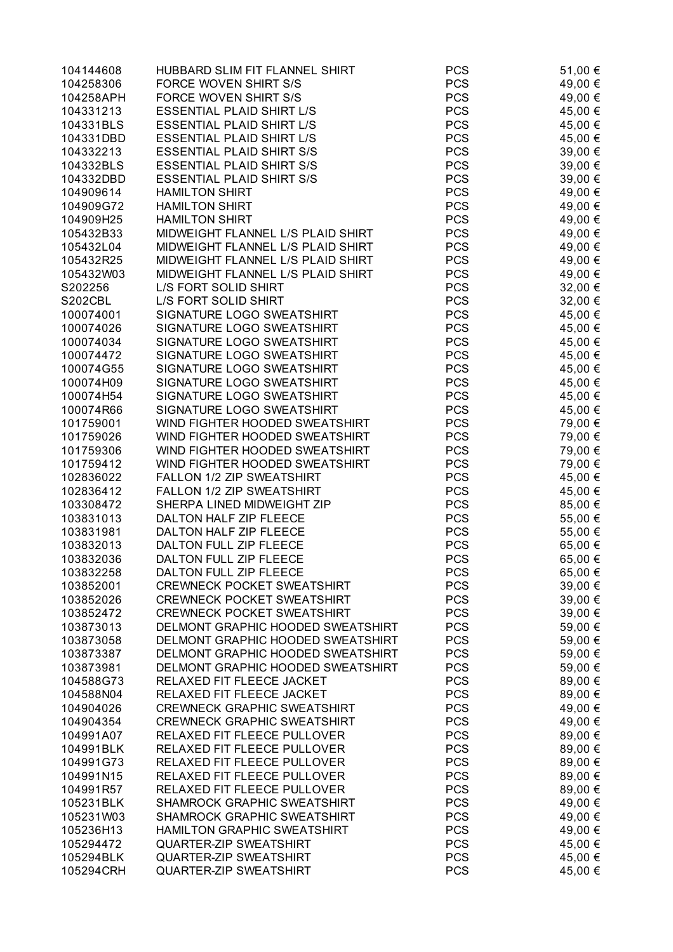| 104144608 | HUBBARD SLIM FIT FLANNEL SHIRT     | <b>PCS</b> | 51,00 € |
|-----------|------------------------------------|------------|---------|
| 104258306 | FORCE WOVEN SHIRT S/S              | <b>PCS</b> | 49,00 € |
| 104258APH | FORCE WOVEN SHIRT S/S              | <b>PCS</b> | 49,00 € |
| 104331213 | <b>ESSENTIAL PLAID SHIRT L/S</b>   | <b>PCS</b> | 45,00 € |
| 104331BLS | <b>ESSENTIAL PLAID SHIRT L/S</b>   | <b>PCS</b> | 45,00 € |
| 104331DBD | <b>ESSENTIAL PLAID SHIRT L/S</b>   | <b>PCS</b> | 45,00 € |
| 104332213 | <b>ESSENTIAL PLAID SHIRT S/S</b>   | <b>PCS</b> | 39,00 € |
| 104332BLS | <b>ESSENTIAL PLAID SHIRT S/S</b>   | <b>PCS</b> | 39,00 € |
| 104332DBD | <b>ESSENTIAL PLAID SHIRT S/S</b>   | <b>PCS</b> | 39,00 € |
| 104909614 | <b>HAMILTON SHIRT</b>              | <b>PCS</b> | 49,00 € |
| 104909G72 | <b>HAMILTON SHIRT</b>              | <b>PCS</b> | 49,00 € |
| 104909H25 | <b>HAMILTON SHIRT</b>              | <b>PCS</b> | 49,00 € |
| 105432B33 | MIDWEIGHT FLANNEL L/S PLAID SHIRT  | <b>PCS</b> | 49,00 € |
| 105432L04 | MIDWEIGHT FLANNEL L/S PLAID SHIRT  | <b>PCS</b> | 49,00 € |
| 105432R25 | MIDWEIGHT FLANNEL L/S PLAID SHIRT  | <b>PCS</b> | 49,00 € |
| 105432W03 | MIDWEIGHT FLANNEL L/S PLAID SHIRT  | <b>PCS</b> | 49,00 € |
| S202256   | L/S FORT SOLID SHIRT               | <b>PCS</b> | 32,00 € |
| S202CBL   | L/S FORT SOLID SHIRT               | <b>PCS</b> | 32,00 € |
| 100074001 | SIGNATURE LOGO SWEATSHIRT          | <b>PCS</b> |         |
|           |                                    |            | 45,00 € |
| 100074026 | SIGNATURE LOGO SWEATSHIRT          | <b>PCS</b> | 45,00 € |
| 100074034 | SIGNATURE LOGO SWEATSHIRT          | <b>PCS</b> | 45,00 € |
| 100074472 | SIGNATURE LOGO SWEATSHIRT          | <b>PCS</b> | 45,00 € |
| 100074G55 | SIGNATURE LOGO SWEATSHIRT          | <b>PCS</b> | 45,00 € |
| 100074H09 | SIGNATURE LOGO SWEATSHIRT          | <b>PCS</b> | 45,00 € |
| 100074H54 | SIGNATURE LOGO SWEATSHIRT          | <b>PCS</b> | 45,00 € |
| 100074R66 | SIGNATURE LOGO SWEATSHIRT          | <b>PCS</b> | 45,00 € |
| 101759001 | WIND FIGHTER HOODED SWEATSHIRT     | <b>PCS</b> | 79,00 € |
| 101759026 | WIND FIGHTER HOODED SWEATSHIRT     | <b>PCS</b> | 79,00 € |
| 101759306 | WIND FIGHTER HOODED SWEATSHIRT     | <b>PCS</b> | 79,00 € |
| 101759412 | WIND FIGHTER HOODED SWEATSHIRT     | <b>PCS</b> | 79,00 € |
| 102836022 | FALLON 1/2 ZIP SWEATSHIRT          | <b>PCS</b> | 45,00 € |
| 102836412 | FALLON 1/2 ZIP SWEATSHIRT          | <b>PCS</b> | 45,00 € |
| 103308472 | SHERPA LINED MIDWEIGHT ZIP         | <b>PCS</b> | 85,00 € |
| 103831013 | DALTON HALF ZIP FLEECE             | <b>PCS</b> | 55,00 € |
| 103831981 | DALTON HALF ZIP FLEECE             | <b>PCS</b> | 55,00 € |
| 103832013 | DALTON FULL ZIP FLEECE             | <b>PCS</b> | 65,00 € |
| 103832036 | DALTON FULL ZIP FLEECE             | <b>PCS</b> | 65,00 € |
| 103832258 | DALTON FULL ZIP FLEECE             | <b>PCS</b> | 65,00 € |
| 103852001 | <b>CREWNECK POCKET SWEATSHIRT</b>  | <b>PCS</b> | 39,00 € |
| 103852026 | <b>CREWNECK POCKET SWEATSHIRT</b>  | <b>PCS</b> | 39,00 € |
| 103852472 | <b>CREWNECK POCKET SWEATSHIRT</b>  | <b>PCS</b> | 39,00 € |
| 103873013 | DELMONT GRAPHIC HOODED SWEATSHIRT  | <b>PCS</b> | 59,00 € |
| 103873058 | DELMONT GRAPHIC HOODED SWEATSHIRT  | <b>PCS</b> | 59,00 € |
| 103873387 | DELMONT GRAPHIC HOODED SWEATSHIRT  | <b>PCS</b> | 59,00 € |
| 103873981 | DELMONT GRAPHIC HOODED SWEATSHIRT  | <b>PCS</b> | 59,00 € |
| 104588G73 | RELAXED FIT FLEECE JACKET          | <b>PCS</b> | 89,00 € |
| 104588N04 | RELAXED FIT FLEECE JACKET          | <b>PCS</b> | 89,00 € |
| 104904026 | <b>CREWNECK GRAPHIC SWEATSHIRT</b> | <b>PCS</b> | 49,00 € |
| 104904354 | <b>CREWNECK GRAPHIC SWEATSHIRT</b> | <b>PCS</b> | 49,00 € |
| 104991A07 | RELAXED FIT FLEECE PULLOVER        | <b>PCS</b> | 89,00 € |
| 104991BLK | RELAXED FIT FLEECE PULLOVER        | <b>PCS</b> | 89,00 € |
| 104991G73 | RELAXED FIT FLEECE PULLOVER        | <b>PCS</b> | 89,00 € |
| 104991N15 | RELAXED FIT FLEECE PULLOVER        | <b>PCS</b> | 89,00 € |
| 104991R57 | RELAXED FIT FLEECE PULLOVER        | <b>PCS</b> | 89,00 € |
| 105231BLK | SHAMROCK GRAPHIC SWEATSHIRT        | <b>PCS</b> | 49,00 € |
| 105231W03 | SHAMROCK GRAPHIC SWEATSHIRT        | <b>PCS</b> | 49,00 € |
| 105236H13 | <b>HAMILTON GRAPHIC SWEATSHIRT</b> | <b>PCS</b> | 49,00 € |
| 105294472 | <b>QUARTER-ZIP SWEATSHIRT</b>      | <b>PCS</b> | 45,00 € |
| 105294BLK | QUARTER-ZIP SWEATSHIRT             | <b>PCS</b> | 45,00 € |
| 105294CRH | <b>QUARTER-ZIP SWEATSHIRT</b>      | <b>PCS</b> | 45,00 € |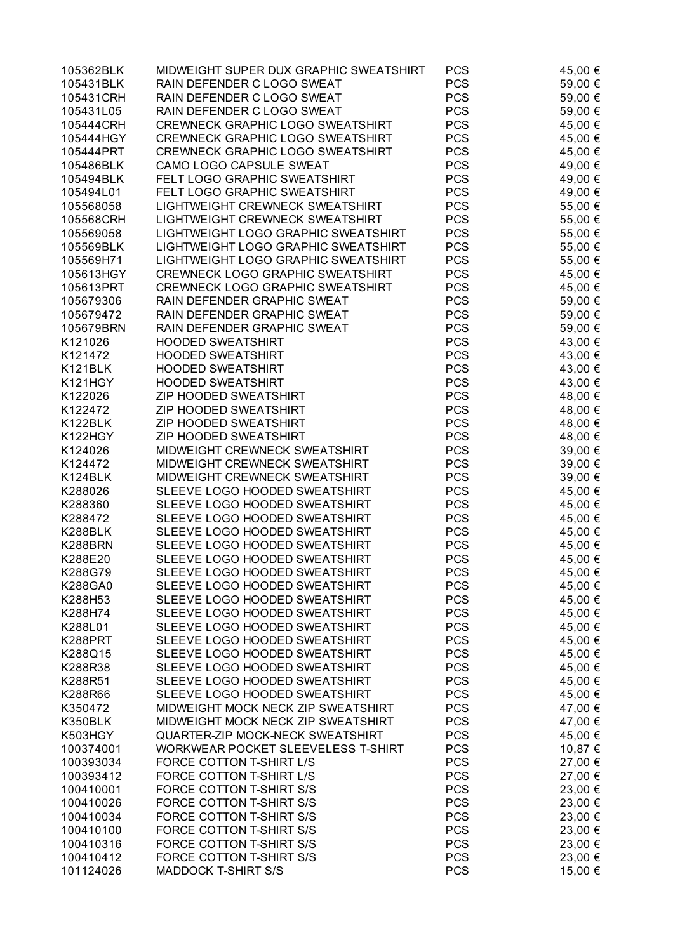| 105362BLK | MIDWEIGHT SUPER DUX GRAPHIC SWEATSHIRT  | <b>PCS</b> | 45,00 € |
|-----------|-----------------------------------------|------------|---------|
| 105431BLK | RAIN DEFENDER C LOGO SWEAT              | <b>PCS</b> | 59,00 € |
| 105431CRH | RAIN DEFENDER C LOGO SWEAT              | <b>PCS</b> | 59,00 € |
| 105431L05 | RAIN DEFENDER C LOGO SWEAT              | <b>PCS</b> | 59,00 € |
| 105444CRH | CREWNECK GRAPHIC LOGO SWEATSHIRT        | <b>PCS</b> | 45,00 € |
| 105444HGY | CREWNECK GRAPHIC LOGO SWEATSHIRT        | <b>PCS</b> | 45,00 € |
| 105444PRT | CREWNECK GRAPHIC LOGO SWEATSHIRT        | <b>PCS</b> | 45,00 € |
| 105486BLK | CAMO LOGO CAPSULE SWEAT                 | <b>PCS</b> | 49,00 € |
| 105494BLK | FELT LOGO GRAPHIC SWEATSHIRT            | <b>PCS</b> | 49,00 € |
| 105494L01 | FELT LOGO GRAPHIC SWEATSHIRT            | <b>PCS</b> |         |
|           |                                         | <b>PCS</b> | 49,00 € |
| 105568058 | LIGHTWEIGHT CREWNECK SWEATSHIRT         |            | 55,00 € |
| 105568CRH | LIGHTWEIGHT CREWNECK SWEATSHIRT         | <b>PCS</b> | 55,00 € |
| 105569058 | LIGHTWEIGHT LOGO GRAPHIC SWEATSHIRT     | <b>PCS</b> | 55,00 € |
| 105569BLK | LIGHTWEIGHT LOGO GRAPHIC SWEATSHIRT     | <b>PCS</b> | 55,00 € |
| 105569H71 | LIGHTWEIGHT LOGO GRAPHIC SWEATSHIRT     | <b>PCS</b> | 55,00 € |
| 105613HGY | <b>CREWNECK LOGO GRAPHIC SWEATSHIRT</b> | <b>PCS</b> | 45,00 € |
| 105613PRT | <b>CREWNECK LOGO GRAPHIC SWEATSHIRT</b> | <b>PCS</b> | 45,00 € |
| 105679306 | RAIN DEFENDER GRAPHIC SWEAT             | <b>PCS</b> | 59,00 € |
| 105679472 | RAIN DEFENDER GRAPHIC SWEAT             | <b>PCS</b> | 59,00 € |
| 105679BRN | RAIN DEFENDER GRAPHIC SWEAT             | <b>PCS</b> | 59,00 € |
| K121026   | <b>HOODED SWEATSHIRT</b>                | <b>PCS</b> | 43,00 € |
| K121472   | <b>HOODED SWEATSHIRT</b>                | <b>PCS</b> | 43,00 € |
| K121BLK   | <b>HOODED SWEATSHIRT</b>                | <b>PCS</b> | 43,00 € |
| K121HGY   | <b>HOODED SWEATSHIRT</b>                | <b>PCS</b> | 43,00 € |
| K122026   | <b>ZIP HOODED SWEATSHIRT</b>            | <b>PCS</b> | 48,00 € |
| K122472   | <b>ZIP HOODED SWEATSHIRT</b>            | <b>PCS</b> | 48,00 € |
| K122BLK   | <b>ZIP HOODED SWEATSHIRT</b>            | <b>PCS</b> | 48,00 € |
| K122HGY   | <b>ZIP HOODED SWEATSHIRT</b>            | <b>PCS</b> | 48,00 € |
| K124026   | MIDWEIGHT CREWNECK SWEATSHIRT           | <b>PCS</b> | 39,00 € |
| K124472   | MIDWEIGHT CREWNECK SWEATSHIRT           | <b>PCS</b> | 39,00 € |
| K124BLK   | MIDWEIGHT CREWNECK SWEATSHIRT           | <b>PCS</b> | 39,00 € |
| K288026   | SLEEVE LOGO HOODED SWEATSHIRT           | <b>PCS</b> | 45,00 € |
| K288360   | SLEEVE LOGO HOODED SWEATSHIRT           | <b>PCS</b> | 45,00 € |
| K288472   | SLEEVE LOGO HOODED SWEATSHIRT           | <b>PCS</b> | 45,00 € |
| K288BLK   | SLEEVE LOGO HOODED SWEATSHIRT           | <b>PCS</b> | 45,00 € |
| K288BRN   | SLEEVE LOGO HOODED SWEATSHIRT           | <b>PCS</b> | 45,00 € |
| K288E20   | SLEEVE LOGO HOODED SWEATSHIRT           | <b>PCS</b> | 45,00 € |
| K288G79   | SLEEVE LOGO HOODED SWEATSHIRT           | <b>PCS</b> | 45,00 € |
| K288GA0   | SLEEVE LOGO HOODED SWEATSHIRT           | <b>PCS</b> | 45,00 € |
| K288H53   | SLEEVE LOGO HOODED SWEATSHIRT           | <b>PCS</b> | 45,00 € |
| K288H74   | SLEEVE LOGO HOODED SWEATSHIRT           | <b>PCS</b> |         |
|           |                                         |            | 45,00 € |
| K288L01   | SLEEVE LOGO HOODED SWEATSHIRT           | <b>PCS</b> | 45,00 € |
| K288PRT   | SLEEVE LOGO HOODED SWEATSHIRT           | <b>PCS</b> | 45,00 € |
| K288Q15   | SLEEVE LOGO HOODED SWEATSHIRT           | <b>PCS</b> | 45,00 € |
| K288R38   | SLEEVE LOGO HOODED SWEATSHIRT           | <b>PCS</b> | 45,00 € |
| K288R51   | SLEEVE LOGO HOODED SWEATSHIRT           | <b>PCS</b> | 45,00 € |
| K288R66   | SLEEVE LOGO HOODED SWEATSHIRT           | <b>PCS</b> | 45,00 € |
| K350472   | MIDWEIGHT MOCK NECK ZIP SWEATSHIRT      | <b>PCS</b> | 47,00 € |
| K350BLK   | MIDWEIGHT MOCK NECK ZIP SWEATSHIRT      | <b>PCS</b> | 47,00 € |
| K503HGY   | QUARTER-ZIP MOCK-NECK SWEATSHIRT        | <b>PCS</b> | 45,00 € |
| 100374001 | WORKWEAR POCKET SLEEVELESS T-SHIRT      | <b>PCS</b> | 10,87 € |
| 100393034 | FORCE COTTON T-SHIRT L/S                | <b>PCS</b> | 27,00 € |
| 100393412 | FORCE COTTON T-SHIRT L/S                | <b>PCS</b> | 27,00 € |
| 100410001 | FORCE COTTON T-SHIRT S/S                | <b>PCS</b> | 23,00 € |
| 100410026 | FORCE COTTON T-SHIRT S/S                | <b>PCS</b> | 23,00 € |
| 100410034 | FORCE COTTON T-SHIRT S/S                | <b>PCS</b> | 23,00 € |
| 100410100 | FORCE COTTON T-SHIRT S/S                | <b>PCS</b> | 23,00 € |
| 100410316 | FORCE COTTON T-SHIRT S/S                | <b>PCS</b> | 23,00 € |
| 100410412 | FORCE COTTON T-SHIRT S/S                | <b>PCS</b> | 23,00 € |
| 101124026 | <b>MADDOCK T-SHIRT S/S</b>              | <b>PCS</b> | 15,00 € |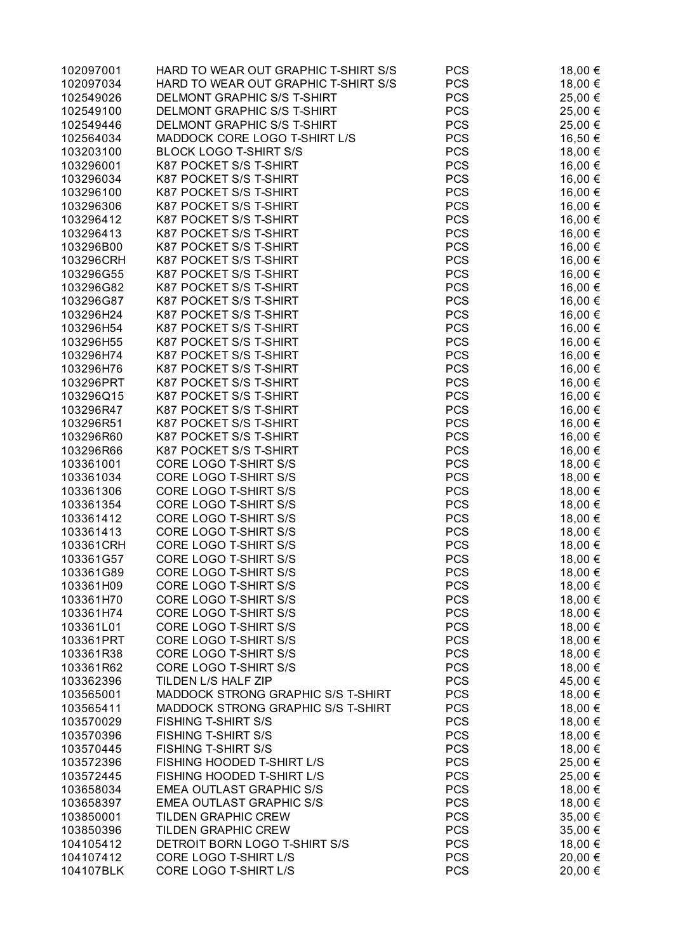| 102097001 | HARD TO WEAR OUT GRAPHIC T-SHIRT S/S | <b>PCS</b> | 18,00 € |
|-----------|--------------------------------------|------------|---------|
| 102097034 | HARD TO WEAR OUT GRAPHIC T-SHIRT S/S | <b>PCS</b> | 18,00 € |
| 102549026 | DELMONT GRAPHIC S/S T-SHIRT          | <b>PCS</b> | 25,00 € |
| 102549100 | DELMONT GRAPHIC S/S T-SHIRT          | <b>PCS</b> | 25,00 € |
| 102549446 | DELMONT GRAPHIC S/S T-SHIRT          | <b>PCS</b> | 25,00 € |
| 102564034 | MADDOCK CORE LOGO T-SHIRT L/S        | <b>PCS</b> | 16,50 € |
| 103203100 | <b>BLOCK LOGO T-SHIRT S/S</b>        | <b>PCS</b> | 18,00 € |
| 103296001 | K87 POCKET S/S T-SHIRT               | <b>PCS</b> | 16,00 € |
| 103296034 | K87 POCKET S/S T-SHIRT               | <b>PCS</b> | 16,00 € |
| 103296100 | K87 POCKET S/S T-SHIRT               | <b>PCS</b> | 16,00 € |
| 103296306 | K87 POCKET S/S T-SHIRT               | <b>PCS</b> | 16,00 € |
| 103296412 | K87 POCKET S/S T-SHIRT               | <b>PCS</b> | 16,00 € |
| 103296413 | K87 POCKET S/S T-SHIRT               | <b>PCS</b> | 16,00 € |
| 103296B00 | K87 POCKET S/S T-SHIRT               | <b>PCS</b> | 16,00 € |
| 103296CRH | K87 POCKET S/S T-SHIRT               | <b>PCS</b> | 16,00 € |
| 103296G55 | K87 POCKET S/S T-SHIRT               | <b>PCS</b> | 16,00 € |
| 103296G82 | K87 POCKET S/S T-SHIRT               | <b>PCS</b> | 16,00 € |
| 103296G87 | K87 POCKET S/S T-SHIRT               | <b>PCS</b> |         |
|           | K87 POCKET S/S T-SHIRT               | <b>PCS</b> | 16,00 € |
| 103296H24 | K87 POCKET S/S T-SHIRT               |            | 16,00 € |
| 103296H54 |                                      | <b>PCS</b> | 16,00 € |
| 103296H55 | K87 POCKET S/S T-SHIRT               | <b>PCS</b> | 16,00 € |
| 103296H74 | K87 POCKET S/S T-SHIRT               | <b>PCS</b> | 16,00 € |
| 103296H76 | K87 POCKET S/S T-SHIRT               | <b>PCS</b> | 16,00 € |
| 103296PRT | K87 POCKET S/S T-SHIRT               | <b>PCS</b> | 16,00 € |
| 103296Q15 | K87 POCKET S/S T-SHIRT               | <b>PCS</b> | 16,00 € |
| 103296R47 | K87 POCKET S/S T-SHIRT               | <b>PCS</b> | 16,00 € |
| 103296R51 | K87 POCKET S/S T-SHIRT               | <b>PCS</b> | 16,00 € |
| 103296R60 | K87 POCKET S/S T-SHIRT               | <b>PCS</b> | 16,00 € |
| 103296R66 | K87 POCKET S/S T-SHIRT               | <b>PCS</b> | 16,00 € |
| 103361001 | CORE LOGO T-SHIRT S/S                | <b>PCS</b> | 18,00 € |
| 103361034 | CORE LOGO T-SHIRT S/S                | <b>PCS</b> | 18,00 € |
| 103361306 | CORE LOGO T-SHIRT S/S                | <b>PCS</b> | 18,00 € |
| 103361354 | CORE LOGO T-SHIRT S/S                | <b>PCS</b> | 18,00 € |
| 103361412 | CORE LOGO T-SHIRT S/S                | <b>PCS</b> | 18,00 € |
| 103361413 | CORE LOGO T-SHIRT S/S                | <b>PCS</b> | 18,00 € |
| 103361CRH | CORE LOGO T-SHIRT S/S                | <b>PCS</b> | 18,00 € |
| 103361G57 | CORE LOGO T-SHIRT S/S                | <b>PCS</b> | 18,00 € |
| 103361G89 | CORE LOGO T-SHIRT S/S                | <b>PCS</b> | 18,00 € |
| 103361H09 | CORE LOGO T-SHIRT S/S                | <b>PCS</b> | 18,00 € |
| 103361H70 | CORE LOGO T-SHIRT S/S                | <b>PCS</b> | 18,00 € |
| 103361H74 | CORE LOGO T-SHIRT S/S                | <b>PCS</b> | 18,00 € |
| 103361L01 | CORE LOGO T-SHIRT S/S                | <b>PCS</b> | 18,00 € |
| 103361PRT | CORE LOGO T-SHIRT S/S                | <b>PCS</b> | 18,00 € |
| 103361R38 | CORE LOGO T-SHIRT S/S                | <b>PCS</b> | 18,00 € |
| 103361R62 | CORE LOGO T-SHIRT S/S                | <b>PCS</b> | 18,00 € |
| 103362396 | TILDEN L/S HALF ZIP                  | <b>PCS</b> | 45,00 € |
| 103565001 | MADDOCK STRONG GRAPHIC S/S T-SHIRT   | <b>PCS</b> | 18,00 € |
| 103565411 | MADDOCK STRONG GRAPHIC S/S T-SHIRT   | <b>PCS</b> | 18,00 € |
| 103570029 | <b>FISHING T-SHIRT S/S</b>           | <b>PCS</b> | 18,00 € |
| 103570396 | <b>FISHING T-SHIRT S/S</b>           | <b>PCS</b> | 18,00 € |
| 103570445 | <b>FISHING T-SHIRT S/S</b>           | <b>PCS</b> | 18,00 € |
| 103572396 | FISHING HOODED T-SHIRT L/S           | <b>PCS</b> | 25,00 € |
| 103572445 | FISHING HOODED T-SHIRT L/S           | <b>PCS</b> | 25,00 € |
| 103658034 | <b>EMEA OUTLAST GRAPHIC S/S</b>      | <b>PCS</b> | 18,00 € |
| 103658397 | <b>EMEA OUTLAST GRAPHIC S/S</b>      | <b>PCS</b> | 18,00 € |
| 103850001 | <b>TILDEN GRAPHIC CREW</b>           | <b>PCS</b> | 35,00 € |
| 103850396 | <b>TILDEN GRAPHIC CREW</b>           | <b>PCS</b> | 35,00 € |
| 104105412 | DETROIT BORN LOGO T-SHIRT S/S        | <b>PCS</b> | 18,00 € |
| 104107412 | CORE LOGO T-SHIRT L/S                | <b>PCS</b> | 20,00 € |
| 104107BLK | CORE LOGO T-SHIRT L/S                | <b>PCS</b> | 20,00 € |
|           |                                      |            |         |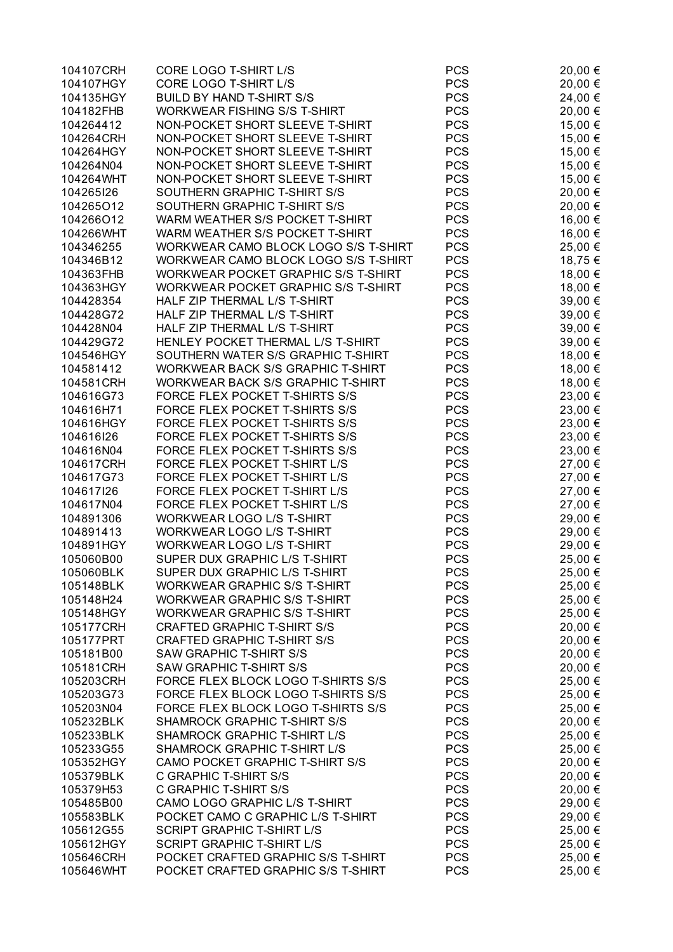| 104107CRH | CORE LOGO T-SHIRT L/S                    | <b>PCS</b> | 20,00 € |
|-----------|------------------------------------------|------------|---------|
| 104107HGY | CORE LOGO T-SHIRT L/S                    | <b>PCS</b> | 20,00 € |
| 104135HGY | <b>BUILD BY HAND T-SHIRT S/S</b>         | <b>PCS</b> | 24,00 € |
| 104182FHB | <b>WORKWEAR FISHING S/S T-SHIRT</b>      | <b>PCS</b> | 20,00 € |
| 104264412 | NON-POCKET SHORT SLEEVE T-SHIRT          | <b>PCS</b> | 15,00 € |
| 104264CRH | NON-POCKET SHORT SLEEVE T-SHIRT          | <b>PCS</b> | 15,00 € |
| 104264HGY | NON-POCKET SHORT SLEEVE T-SHIRT          | <b>PCS</b> | 15,00 € |
| 104264N04 | NON-POCKET SHORT SLEEVE T-SHIRT          | <b>PCS</b> | 15,00 € |
| 104264WHT | NON-POCKET SHORT SLEEVE T-SHIRT          | <b>PCS</b> | 15,00 € |
| 104265126 | SOUTHERN GRAPHIC T-SHIRT S/S             | <b>PCS</b> | 20,00 € |
| 104265O12 | SOUTHERN GRAPHIC T-SHIRT S/S             | <b>PCS</b> | 20,00 € |
|           |                                          | <b>PCS</b> |         |
| 104266O12 | WARM WEATHER S/S POCKET T-SHIRT          |            | 16,00 € |
| 104266WHT | WARM WEATHER S/S POCKET T-SHIRT          | <b>PCS</b> | 16,00 € |
| 104346255 | WORKWEAR CAMO BLOCK LOGO S/S T-SHIRT     | <b>PCS</b> | 25,00 € |
| 104346B12 | WORKWEAR CAMO BLOCK LOGO S/S T-SHIRT     | <b>PCS</b> | 18,75 € |
| 104363FHB | WORKWEAR POCKET GRAPHIC S/S T-SHIRT      | <b>PCS</b> | 18,00 € |
| 104363HGY | WORKWEAR POCKET GRAPHIC S/S T-SHIRT      | <b>PCS</b> | 18,00 € |
| 104428354 | HALF ZIP THERMAL L/S T-SHIRT             | <b>PCS</b> | 39,00 € |
| 104428G72 | HALF ZIP THERMAL L/S T-SHIRT             | <b>PCS</b> | 39,00 € |
| 104428N04 | HALF ZIP THERMAL L/S T-SHIRT             | <b>PCS</b> | 39,00 € |
| 104429G72 | HENLEY POCKET THERMAL L/S T-SHIRT        | <b>PCS</b> | 39,00 € |
| 104546HGY | SOUTHERN WATER S/S GRAPHIC T-SHIRT       | <b>PCS</b> | 18,00 € |
| 104581412 | WORKWEAR BACK S/S GRAPHIC T-SHIRT        | <b>PCS</b> | 18,00 € |
| 104581CRH | <b>WORKWEAR BACK S/S GRAPHIC T-SHIRT</b> | <b>PCS</b> | 18,00 € |
| 104616G73 | FORCE FLEX POCKET T-SHIRTS S/S           | <b>PCS</b> | 23,00 € |
| 104616H71 | FORCE FLEX POCKET T-SHIRTS S/S           | <b>PCS</b> | 23,00 € |
| 104616HGY | FORCE FLEX POCKET T-SHIRTS S/S           | <b>PCS</b> | 23,00 € |
| 104616I26 | FORCE FLEX POCKET T-SHIRTS S/S           | <b>PCS</b> | 23,00 € |
| 104616N04 | FORCE FLEX POCKET T-SHIRTS S/S           | <b>PCS</b> | 23,00 € |
| 104617CRH | FORCE FLEX POCKET T-SHIRT L/S            | <b>PCS</b> | 27,00 € |
| 104617G73 | FORCE FLEX POCKET T-SHIRT L/S            | <b>PCS</b> | 27,00 € |
| 104617126 | FORCE FLEX POCKET T-SHIRT L/S            | <b>PCS</b> | 27,00 € |
| 104617N04 | FORCE FLEX POCKET T-SHIRT L/S            | <b>PCS</b> | 27,00 € |
| 104891306 | <b>WORKWEAR LOGO L/S T-SHIRT</b>         | <b>PCS</b> | 29,00 € |
| 104891413 | WORKWEAR LOGO L/S T-SHIRT                | <b>PCS</b> | 29,00 € |
| 104891HGY | WORKWEAR LOGO L/S T-SHIRT                | <b>PCS</b> | 29,00 € |
| 105060B00 | SUPER DUX GRAPHIC L/S T-SHIRT            | <b>PCS</b> | 25,00 € |
| 105060BLK | SUPER DUX GRAPHIC L/S T-SHIRT            | <b>PCS</b> | 25,00 € |
| 105148BLK | <b>WORKWEAR GRAPHIC S/S T-SHIRT</b>      | <b>PCS</b> |         |
|           |                                          |            | 25,00 € |
| 105148H24 | WORKWEAR GRAPHIC S/S T-SHIRT             | <b>PCS</b> | 25,00 € |
| 105148HGY | <b>WORKWEAR GRAPHIC S/S T-SHIRT</b>      | <b>PCS</b> | 25,00 € |
| 105177CRH | <b>CRAFTED GRAPHIC T-SHIRT S/S</b>       | <b>PCS</b> | 20,00 € |
| 105177PRT | <b>CRAFTED GRAPHIC T-SHIRT S/S</b>       | <b>PCS</b> | 20,00 € |
| 105181B00 | <b>SAW GRAPHIC T-SHIRT S/S</b>           | <b>PCS</b> | 20,00 € |
| 105181CRH | <b>SAW GRAPHIC T-SHIRT S/S</b>           | <b>PCS</b> | 20,00 € |
| 105203CRH | FORCE FLEX BLOCK LOGO T-SHIRTS S/S       | <b>PCS</b> | 25,00 € |
| 105203G73 | FORCE FLEX BLOCK LOGO T-SHIRTS S/S       | <b>PCS</b> | 25,00 € |
| 105203N04 | FORCE FLEX BLOCK LOGO T-SHIRTS S/S       | <b>PCS</b> | 25,00 € |
| 105232BLK | SHAMROCK GRAPHIC T-SHIRT S/S             | <b>PCS</b> | 20,00 € |
| 105233BLK | SHAMROCK GRAPHIC T-SHIRT L/S             | <b>PCS</b> | 25,00 € |
| 105233G55 | SHAMROCK GRAPHIC T-SHIRT L/S             | <b>PCS</b> | 25,00 € |
| 105352HGY | CAMO POCKET GRAPHIC T-SHIRT S/S          | <b>PCS</b> | 20,00 € |
| 105379BLK | C GRAPHIC T-SHIRT S/S                    | <b>PCS</b> | 20,00 € |
| 105379H53 | C GRAPHIC T-SHIRT S/S                    | <b>PCS</b> | 20,00 € |
| 105485B00 | CAMO LOGO GRAPHIC L/S T-SHIRT            | <b>PCS</b> | 29,00 € |
| 105583BLK | POCKET CAMO C GRAPHIC L/S T-SHIRT        | <b>PCS</b> | 29,00 € |
| 105612G55 | <b>SCRIPT GRAPHIC T-SHIRT L/S</b>        | <b>PCS</b> | 25,00 € |
| 105612HGY | <b>SCRIPT GRAPHIC T-SHIRT L/S</b>        | <b>PCS</b> | 25,00 € |
| 105646CRH | POCKET CRAFTED GRAPHIC S/S T-SHIRT       | <b>PCS</b> | 25,00 € |
| 105646WHT | POCKET CRAFTED GRAPHIC S/S T-SHIRT       | <b>PCS</b> | 25,00 € |
|           |                                          |            |         |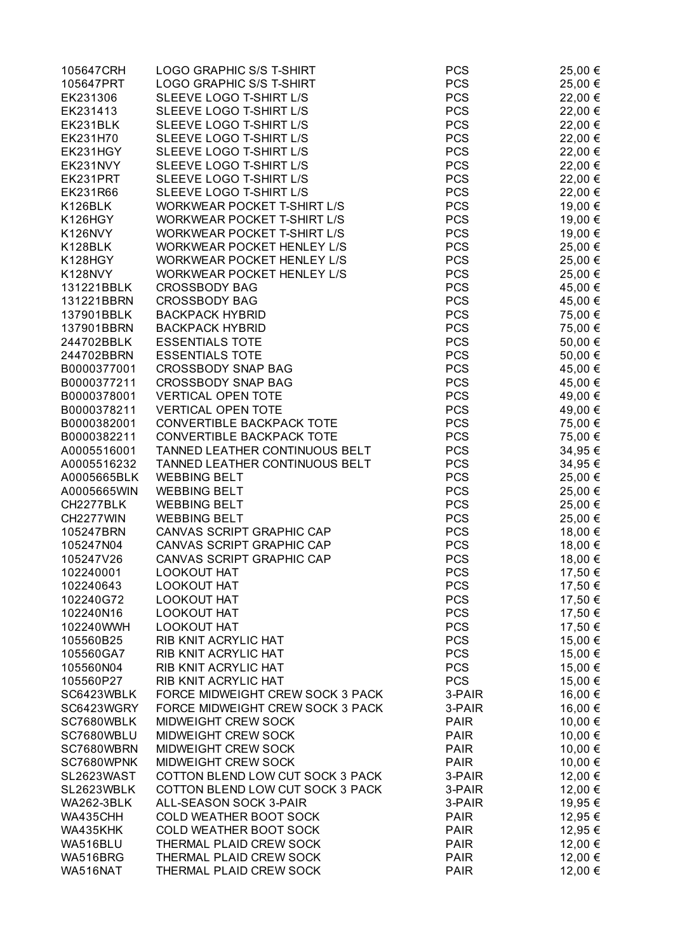| 105647CRH                  | <b>LOGO GRAPHIC S/S T-SHIRT</b>                                  | <b>PCS</b>               | 25,00 €            |
|----------------------------|------------------------------------------------------------------|--------------------------|--------------------|
| 105647PRT                  | LOGO GRAPHIC S/S T-SHIRT                                         | <b>PCS</b>               | 25,00 €            |
| EK231306                   | SLEEVE LOGO T-SHIRT L/S                                          | <b>PCS</b>               | 22,00 €            |
| EK231413                   | SLEEVE LOGO T-SHIRT L/S                                          | <b>PCS</b>               | 22,00 €            |
| EK231BLK                   | SLEEVE LOGO T-SHIRT L/S                                          | <b>PCS</b>               | 22,00 €            |
| EK231H70                   | SLEEVE LOGO T-SHIRT L/S                                          | <b>PCS</b>               | 22,00 €            |
| EK231HGY                   | SLEEVE LOGO T-SHIRT L/S                                          | <b>PCS</b>               | 22,00 €            |
| EK231NVY                   | SLEEVE LOGO T-SHIRT L/S                                          | <b>PCS</b>               | 22,00 €            |
| EK231PRT                   | SLEEVE LOGO T-SHIRT L/S                                          | <b>PCS</b>               | 22,00 €            |
| EK231R66                   | SLEEVE LOGO T-SHIRT L/S                                          | <b>PCS</b>               | 22,00 €            |
| K126BLK                    | WORKWEAR POCKET T-SHIRT L/S                                      | <b>PCS</b>               | 19,00 €            |
| K126HGY                    | WORKWEAR POCKET T-SHIRT L/S                                      | <b>PCS</b>               | 19,00 €            |
| K126NVY                    | WORKWEAR POCKET T-SHIRT L/S                                      | <b>PCS</b>               | 19,00 €            |
| K128BLK                    | WORKWEAR POCKET HENLEY L/S                                       | <b>PCS</b>               | 25,00 €            |
| K128HGY                    | WORKWEAR POCKET HENLEY L/S                                       | <b>PCS</b>               | 25,00 €            |
| K128NVY                    | WORKWEAR POCKET HENLEY L/S                                       | <b>PCS</b>               | 25,00 €            |
| 131221BBLK                 | <b>CROSSBODY BAG</b>                                             | <b>PCS</b>               | 45,00 €            |
| 131221BBRN                 | <b>CROSSBODY BAG</b>                                             | <b>PCS</b>               | 45,00 €            |
| 137901BBLK                 | <b>BACKPACK HYBRID</b>                                           | <b>PCS</b>               | 75,00 €            |
| 137901BBRN                 | <b>BACKPACK HYBRID</b>                                           | <b>PCS</b>               | 75,00 €            |
| 244702BBLK                 | <b>ESSENTIALS TOTE</b>                                           | <b>PCS</b>               | 50,00 €            |
| 244702BBRN                 | <b>ESSENTIALS TOTE</b>                                           | <b>PCS</b>               | 50,00 €            |
| B0000377001                | <b>CROSSBODY SNAP BAG</b>                                        | <b>PCS</b>               | 45,00 €            |
| B0000377211                | <b>CROSSBODY SNAP BAG</b>                                        | <b>PCS</b>               | 45,00 €            |
| B0000378001                | <b>VERTICAL OPEN TOTE</b>                                        | <b>PCS</b>               | 49,00 €            |
| B0000378211                | <b>VERTICAL OPEN TOTE</b>                                        | <b>PCS</b>               | 49,00 €            |
| B0000382001                | <b>CONVERTIBLE BACKPACK TOTE</b>                                 | <b>PCS</b>               | 75,00 €            |
| B0000382211                | <b>CONVERTIBLE BACKPACK TOTE</b>                                 | <b>PCS</b>               | 75,00 €            |
| A0005516001<br>A0005516232 | TANNED LEATHER CONTINUOUS BELT<br>TANNED LEATHER CONTINUOUS BELT | <b>PCS</b><br><b>PCS</b> | 34,95 €            |
| A0005665BLK                | <b>WEBBING BELT</b>                                              | <b>PCS</b>               | 34,95 €<br>25,00 € |
| A0005665WIN                | <b>WEBBING BELT</b>                                              | <b>PCS</b>               |                    |
| CH2277BLK                  | <b>WEBBING BELT</b>                                              | <b>PCS</b>               | 25,00 €<br>25,00 € |
| CH2277WIN                  | <b>WEBBING BELT</b>                                              | <b>PCS</b>               | 25,00 €            |
| 105247BRN                  | CANVAS SCRIPT GRAPHIC CAP                                        | <b>PCS</b>               | 18,00 €            |
| 105247N04                  | CANVAS SCRIPT GRAPHIC CAP                                        | <b>PCS</b>               | 18,00 €            |
| 105247V26                  | CANVAS SCRIPT GRAPHIC CAP                                        | <b>PCS</b>               | 18,00 €            |
| 102240001                  | LOOKOUT HAT                                                      | <b>PCS</b>               | 17,50 €            |
| 102240643                  | <b>LOOKOUT HAT</b>                                               | <b>PCS</b>               | 17,50 €            |
| 102240G72                  | <b>LOOKOUT HAT</b>                                               | <b>PCS</b>               | 17,50 €            |
| 102240N16                  | <b>LOOKOUT HAT</b>                                               | <b>PCS</b>               | 17,50 €            |
| 102240WWH                  | LOOKOUT HAT                                                      | <b>PCS</b>               | 17,50 €            |
| 105560B25                  | RIB KNIT ACRYLIC HAT                                             | <b>PCS</b>               | 15,00 €            |
| 105560GA7                  | RIB KNIT ACRYLIC HAT                                             | <b>PCS</b>               | 15,00 €            |
| 105560N04                  | RIB KNIT ACRYLIC HAT                                             | <b>PCS</b>               | 15,00 €            |
| 105560P27                  | RIB KNIT ACRYLIC HAT                                             | <b>PCS</b>               | 15,00 €            |
| SC6423WBLK                 | FORCE MIDWEIGHT CREW SOCK 3 PACK                                 | 3-PAIR                   | 16,00 €            |
| SC6423WGRY                 | FORCE MIDWEIGHT CREW SOCK 3 PACK                                 | 3-PAIR                   | 16,00 €            |
| SC7680WBLK                 | MIDWEIGHT CREW SOCK                                              | <b>PAIR</b>              | 10,00 €            |
| SC7680WBLU                 | MIDWEIGHT CREW SOCK                                              | <b>PAIR</b>              | 10,00 €            |
| SC7680WBRN                 | MIDWEIGHT CREW SOCK                                              | <b>PAIR</b>              | 10,00 €            |
| SC7680WPNK                 | MIDWEIGHT CREW SOCK                                              | <b>PAIR</b>              | 10,00 €            |
| SL2623WAST                 | COTTON BLEND LOW CUT SOCK 3 PACK                                 | 3-PAIR                   | 12,00 €            |
| SL2623WBLK                 | COTTON BLEND LOW CUT SOCK 3 PACK                                 | 3-PAIR                   | 12,00 €            |
| <b>WA262-3BLK</b>          | ALL-SEASON SOCK 3-PAIR                                           | 3-PAIR                   | 19,95€             |
| WA435CHH                   | COLD WEATHER BOOT SOCK                                           | <b>PAIR</b>              | 12,95 €            |
| WA435KHK                   | COLD WEATHER BOOT SOCK                                           | <b>PAIR</b>              | 12,95 €            |
| WA516BLU                   | THERMAL PLAID CREW SOCK                                          | <b>PAIR</b>              | 12,00 €            |
| WA516BRG                   | THERMAL PLAID CREW SOCK                                          | <b>PAIR</b>              | 12,00 €            |
| WA516NAT                   | THERMAL PLAID CREW SOCK                                          | <b>PAIR</b>              | 12,00 €            |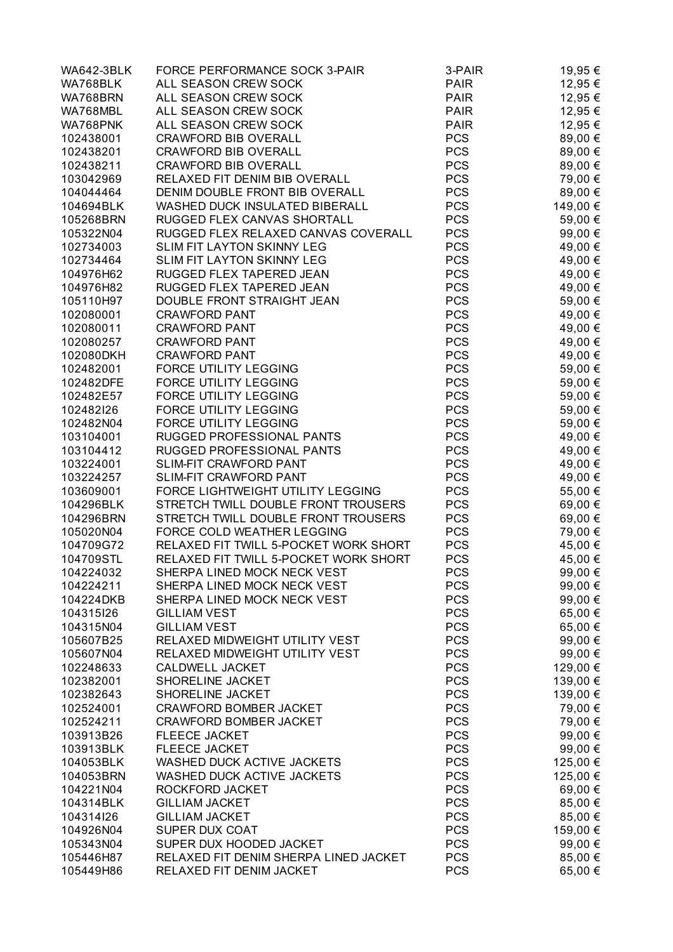| <b>WA642-3BLK</b>      | FORCE PERFORMANCE SOCK 3-PAIR                                    | 3-PAIR                   | 19,95 €            |
|------------------------|------------------------------------------------------------------|--------------------------|--------------------|
| WA768BLK               | ALL SEASON CREW SOCK                                             | <b>PAIR</b>              | 12,95 €            |
| WA768BRN               | ALL SEASON CREW SOCK                                             | <b>PAIR</b>              | 12,95 €            |
| WA768MBL               | ALL SEASON CREW SOCK                                             | <b>PAIR</b>              | 12,95 €            |
| WA768PNK               | ALL SEASON CREW SOCK                                             | <b>PAIR</b>              | 12,95 €            |
| 102438001              | <b>CRAWFORD BIB OVERALL</b>                                      | <b>PCS</b>               | 89,00 €            |
| 102438201              | <b>CRAWFORD BIB OVERALL</b>                                      | <b>PCS</b>               | 89,00 €            |
| 102438211              | <b>CRAWFORD BIB OVERALL</b>                                      | <b>PCS</b>               | 89,00 €            |
| 103042969              | RELAXED FIT DENIM BIB OVERALL                                    | <b>PCS</b>               | 79,00 €            |
| 104044464              | DENIM DOUBLE FRONT BIB OVERALL                                   | <b>PCS</b>               | 89,00 €            |
| 104694BLK              | WASHED DUCK INSULATED BIBERALL                                   | <b>PCS</b>               | 149,00 €           |
| 105268BRN              | RUGGED FLEX CANVAS SHORTALL                                      | <b>PCS</b>               | 59,00 €            |
| 105322N04              | RUGGED FLEX RELAXED CANVAS COVERALL                              | <b>PCS</b>               | 99,00 €            |
| 102734003              | SLIM FIT LAYTON SKINNY LEG                                       | <b>PCS</b>               | 49,00 €            |
| 102734464              | SLIM FIT LAYTON SKINNY LEG                                       | <b>PCS</b>               | 49,00 €            |
| 104976H62              | RUGGED FLEX TAPERED JEAN                                         | <b>PCS</b>               | 49,00 €            |
| 104976H82              | RUGGED FLEX TAPERED JEAN                                         | <b>PCS</b>               | 49,00 €            |
| 105110H97              | DOUBLE FRONT STRAIGHT JEAN                                       | <b>PCS</b>               | 59,00 €            |
| 102080001              | <b>CRAWFORD PANT</b>                                             | <b>PCS</b>               | 49,00 €            |
| 102080011              | <b>CRAWFORD PANT</b>                                             | <b>PCS</b>               | 49,00 €            |
| 102080257              | <b>CRAWFORD PANT</b>                                             | <b>PCS</b>               | 49,00 €            |
| 102080DKH              | <b>CRAWFORD PANT</b>                                             | <b>PCS</b>               | 49,00 €            |
| 102482001              | FORCE UTILITY LEGGING                                            | <b>PCS</b>               | 59,00 €            |
| 102482DFE              | FORCE UTILITY LEGGING                                            | <b>PCS</b>               | 59,00 €            |
| 102482E57              | FORCE UTILITY LEGGING                                            | <b>PCS</b>               | 59,00 €            |
| 102482126              | FORCE UTILITY LEGGING                                            | <b>PCS</b>               | 59,00 €            |
| 102482N04              | FORCE UTILITY LEGGING                                            | <b>PCS</b>               | 59,00 €            |
| 103104001              | RUGGED PROFESSIONAL PANTS                                        | <b>PCS</b>               | 49,00 €            |
| 103104412              | RUGGED PROFESSIONAL PANTS                                        | <b>PCS</b>               | 49,00 €            |
| 103224001              | <b>SLIM-FIT CRAWFORD PANT</b>                                    | <b>PCS</b>               | 49,00 €            |
| 103224257              | SLIM-FIT CRAWFORD PANT                                           | <b>PCS</b>               | 49,00 €            |
| 103609001              | FORCE LIGHTWEIGHT UTILITY LEGGING                                | <b>PCS</b>               | 55,00 €            |
| 104296BLK              | STRETCH TWILL DOUBLE FRONT TROUSERS                              | <b>PCS</b>               | 69,00 €            |
| 104296BRN              | STRETCH TWILL DOUBLE FRONT TROUSERS                              | <b>PCS</b>               | 69,00 €            |
| 105020N04              | FORCE COLD WEATHER LEGGING                                       | <b>PCS</b>               | 79,00 €            |
| 104709G72              | RELAXED FIT TWILL 5-POCKET WORK SHORT                            | <b>PCS</b>               | 45,00 €            |
| 104709STL              | RELAXED FIT TWILL 5-POCKET WORK SHORT                            | <b>PCS</b>               | 45,00 €            |
| 104224032              | SHERPA LINED MOCK NECK VEST                                      | <b>PCS</b>               | 99,00 €            |
| 104224211              | SHERPA LINED MOCK NECK VEST                                      | <b>PCS</b>               | 99,00 €            |
| 104224DKB              | SHERPA LINED MOCK NECK VEST                                      | <b>PCS</b>               | 99,00 €            |
| 104315126              | <b>GILLIAM VEST</b>                                              | <b>PCS</b>               | 65,00 €            |
| 104315N04              | <b>GILLIAM VEST</b>                                              | <b>PCS</b>               | 65,00 €            |
| 105607B25              | RELAXED MIDWEIGHT UTILITY VEST                                   | <b>PCS</b>               | 99,00 €            |
| 105607N04              | RELAXED MIDWEIGHT UTILITY VEST                                   | <b>PCS</b>               | 99,00 €            |
| 102248633              | CALDWELL JACKET                                                  | <b>PCS</b>               | 129,00 €           |
| 102382001              | SHORELINE JACKET                                                 | <b>PCS</b>               | 139,00 €           |
| 102382643              | SHORELINE JACKET                                                 | <b>PCS</b>               | 139,00 €           |
| 102524001              | <b>CRAWFORD BOMBER JACKET</b>                                    | <b>PCS</b>               | 79,00 €            |
| 102524211              | <b>CRAWFORD BOMBER JACKET</b>                                    | <b>PCS</b>               | 79,00 €            |
| 103913B26              | <b>FLEECE JACKET</b>                                             | <b>PCS</b>               | 99,00 €            |
| 103913BLK              | <b>FLEECE JACKET</b>                                             | <b>PCS</b>               | 99,00 €            |
| 104053BLK              | WASHED DUCK ACTIVE JACKETS                                       | <b>PCS</b>               | 125,00 €           |
| 104053BRN              | WASHED DUCK ACTIVE JACKETS                                       | <b>PCS</b>               | 125,00 €           |
| 104221N04              | ROCKFORD JACKET                                                  | <b>PCS</b>               | 69,00 €            |
| 104314BLK              | <b>GILLIAM JACKET</b>                                            | <b>PCS</b>               | 85,00 €            |
| 104314I26              | <b>GILLIAM JACKET</b>                                            | <b>PCS</b>               | 85,00 €            |
| 104926N04              | SUPER DUX COAT                                                   | <b>PCS</b><br><b>PCS</b> | 159,00 €           |
| 105343N04<br>105446H87 | SUPER DUX HOODED JACKET<br>RELAXED FIT DENIM SHERPA LINED JACKET | <b>PCS</b>               | 99,00 €<br>85,00 € |
| 105449H86              | RELAXED FIT DENIM JACKET                                         | <b>PCS</b>               | 65,00 €            |
|                        |                                                                  |                          |                    |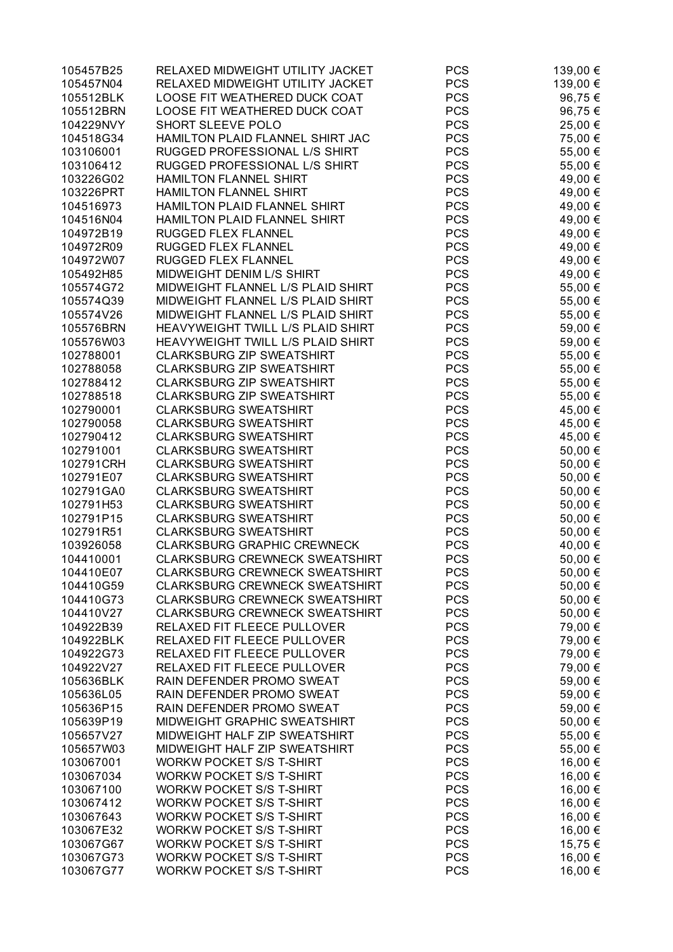| 105457B25 | RELAXED MIDWEIGHT UTILITY JACKET      | <b>PCS</b> | 139,00 € |
|-----------|---------------------------------------|------------|----------|
| 105457N04 | RELAXED MIDWEIGHT UTILITY JACKET      | <b>PCS</b> | 139,00 € |
| 105512BLK | LOOSE FIT WEATHERED DUCK COAT         | <b>PCS</b> | 96,75€   |
| 105512BRN | LOOSE FIT WEATHERED DUCK COAT         | <b>PCS</b> | 96,75€   |
| 104229NVY | SHORT SLEEVE POLO                     | <b>PCS</b> | 25,00 €  |
| 104518G34 | HAMILTON PLAID FLANNEL SHIRT JAC      | <b>PCS</b> | 75,00 €  |
| 103106001 | RUGGED PROFESSIONAL L/S SHIRT         | <b>PCS</b> | 55,00 €  |
| 103106412 | RUGGED PROFESSIONAL L/S SHIRT         | <b>PCS</b> | 55,00 €  |
| 103226G02 | HAMILTON FLANNEL SHIRT                | <b>PCS</b> | 49,00 €  |
| 103226PRT | HAMILTON FLANNEL SHIRT                | <b>PCS</b> | 49,00 €  |
| 104516973 | HAMILTON PLAID FLANNEL SHIRT          | <b>PCS</b> | 49,00 €  |
| 104516N04 | HAMILTON PLAID FLANNEL SHIRT          | <b>PCS</b> | 49,00 €  |
| 104972B19 | RUGGED FLEX FLANNEL                   | <b>PCS</b> | 49,00 €  |
| 104972R09 | RUGGED FLEX FLANNEL                   | <b>PCS</b> | 49,00 €  |
| 104972W07 | RUGGED FLEX FLANNEL                   | <b>PCS</b> | 49,00 €  |
| 105492H85 | MIDWEIGHT DENIM L/S SHIRT             | <b>PCS</b> | 49,00 €  |
| 105574G72 | MIDWEIGHT FLANNEL L/S PLAID SHIRT     | <b>PCS</b> | 55,00 €  |
| 105574Q39 | MIDWEIGHT FLANNEL L/S PLAID SHIRT     | <b>PCS</b> | 55,00 €  |
| 105574V26 | MIDWEIGHT FLANNEL L/S PLAID SHIRT     | <b>PCS</b> | 55,00 €  |
| 105576BRN | HEAVYWEIGHT TWILL L/S PLAID SHIRT     | <b>PCS</b> |          |
|           | HEAVYWEIGHT TWILL L/S PLAID SHIRT     | <b>PCS</b> | 59,00 €  |
| 105576W03 | <b>CLARKSBURG ZIP SWEATSHIRT</b>      |            | 59,00 €  |
| 102788001 |                                       | <b>PCS</b> | 55,00 €  |
| 102788058 | <b>CLARKSBURG ZIP SWEATSHIRT</b>      | <b>PCS</b> | 55,00 €  |
| 102788412 | <b>CLARKSBURG ZIP SWEATSHIRT</b>      | <b>PCS</b> | 55,00 €  |
| 102788518 | <b>CLARKSBURG ZIP SWEATSHIRT</b>      | <b>PCS</b> | 55,00 €  |
| 102790001 | <b>CLARKSBURG SWEATSHIRT</b>          | <b>PCS</b> | 45,00 €  |
| 102790058 | <b>CLARKSBURG SWEATSHIRT</b>          | <b>PCS</b> | 45,00 €  |
| 102790412 | <b>CLARKSBURG SWEATSHIRT</b>          | <b>PCS</b> | 45,00 €  |
| 102791001 | <b>CLARKSBURG SWEATSHIRT</b>          | <b>PCS</b> | 50,00 €  |
| 102791CRH | <b>CLARKSBURG SWEATSHIRT</b>          | <b>PCS</b> | 50,00 €  |
| 102791E07 | <b>CLARKSBURG SWEATSHIRT</b>          | <b>PCS</b> | 50,00 €  |
| 102791GA0 | <b>CLARKSBURG SWEATSHIRT</b>          | <b>PCS</b> | 50,00 €  |
| 102791H53 | <b>CLARKSBURG SWEATSHIRT</b>          | <b>PCS</b> | 50,00 €  |
| 102791P15 | <b>CLARKSBURG SWEATSHIRT</b>          | <b>PCS</b> | 50,00 €  |
| 102791R51 | <b>CLARKSBURG SWEATSHIRT</b>          | <b>PCS</b> | 50,00 €  |
| 103926058 | <b>CLARKSBURG GRAPHIC CREWNECK</b>    | <b>PCS</b> | 40,00 €  |
| 104410001 | <b>CLARKSBURG CREWNECK SWEATSHIRT</b> | <b>PCS</b> | 50,00 €  |
| 104410E07 | CLARKSBURG CREWNECK SWEATSHIRT        | <b>PCS</b> | 50,00 €  |
| 104410G59 | <b>CLARKSBURG CREWNECK SWEATSHIRT</b> | <b>PCS</b> | 50,00 €  |
| 104410G73 | <b>CLARKSBURG CREWNECK SWEATSHIRT</b> | <b>PCS</b> | 50,00 €  |
| 104410V27 | <b>CLARKSBURG CREWNECK SWEATSHIRT</b> | <b>PCS</b> | 50,00 €  |
| 104922B39 | RELAXED FIT FLEECE PULLOVER           | <b>PCS</b> | 79,00 €  |
| 104922BLK | RELAXED FIT FLEECE PULLOVER           | <b>PCS</b> | 79,00 €  |
| 104922G73 | RELAXED FIT FLEECE PULLOVER           | <b>PCS</b> | 79,00 €  |
| 104922V27 | RELAXED FIT FLEECE PULLOVER           | <b>PCS</b> | 79,00 €  |
| 105636BLK | RAIN DEFENDER PROMO SWEAT             | <b>PCS</b> | 59,00 €  |
| 105636L05 | RAIN DEFENDER PROMO SWEAT             | <b>PCS</b> | 59,00 €  |
| 105636P15 | RAIN DEFENDER PROMO SWEAT             | <b>PCS</b> | 59,00 €  |
| 105639P19 | MIDWEIGHT GRAPHIC SWEATSHIRT          | <b>PCS</b> | 50,00 €  |
| 105657V27 | MIDWEIGHT HALF ZIP SWEATSHIRT         | <b>PCS</b> | 55,00 €  |
| 105657W03 | MIDWEIGHT HALF ZIP SWEATSHIRT         | <b>PCS</b> | 55,00 €  |
| 103067001 | <b>WORKW POCKET S/S T-SHIRT</b>       | <b>PCS</b> | 16,00 €  |
| 103067034 | <b>WORKW POCKET S/S T-SHIRT</b>       | <b>PCS</b> | 16,00 €  |
| 103067100 | <b>WORKW POCKET S/S T-SHIRT</b>       | <b>PCS</b> | 16,00 €  |
| 103067412 | <b>WORKW POCKET S/S T-SHIRT</b>       | <b>PCS</b> | 16,00 €  |
| 103067643 | <b>WORKW POCKET S/S T-SHIRT</b>       | <b>PCS</b> | 16,00 €  |
| 103067E32 | <b>WORKW POCKET S/S T-SHIRT</b>       | <b>PCS</b> | 16,00 €  |
| 103067G67 | <b>WORKW POCKET S/S T-SHIRT</b>       | <b>PCS</b> | 15,75 €  |
| 103067G73 | <b>WORKW POCKET S/S T-SHIRT</b>       | <b>PCS</b> | 16,00 €  |
| 103067G77 | <b>WORKW POCKET S/S T-SHIRT</b>       | <b>PCS</b> | 16,00 €  |